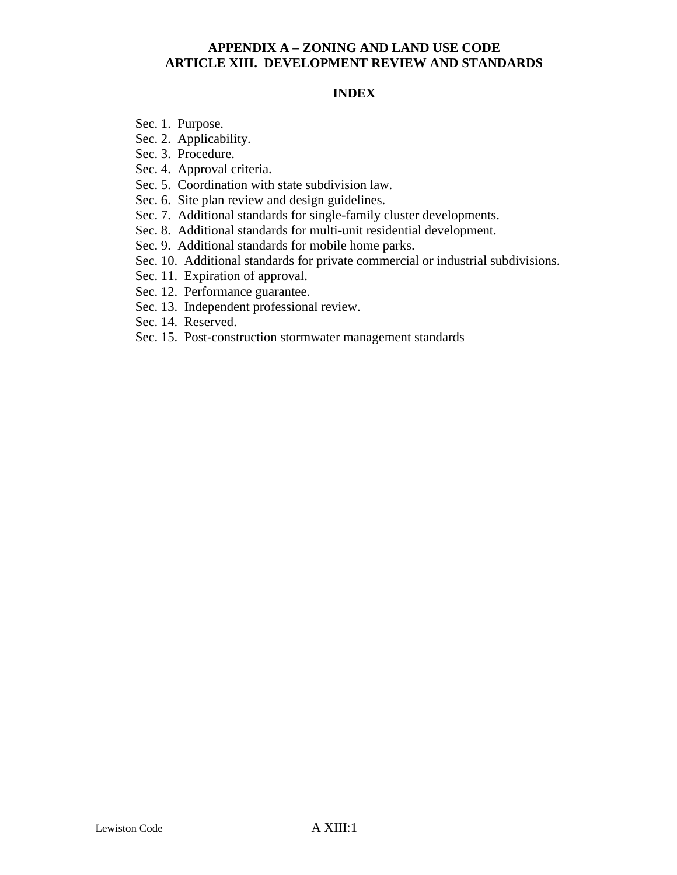#### **INDEX**

- Sec. 1. Purpose.
- Sec. 2. Applicability.
- Sec. 3. Procedure.
- Sec. 4. Approval criteria.
- Sec. 5. Coordination with state subdivision law.
- Sec. 6. Site plan review and design guidelines.
- Sec. 7. Additional standards for single-family cluster developments.
- Sec. 8. Additional standards for multi-unit residential development.
- Sec. 9. Additional standards for mobile home parks.
- Sec. 10. Additional standards for private commercial or industrial subdivisions.
- Sec. 11. Expiration of approval.
- Sec. 12. Performance guarantee.
- Sec. 13. Independent professional review.
- Sec. 14. Reserved.
- Sec. 15. Post-construction stormwater management standards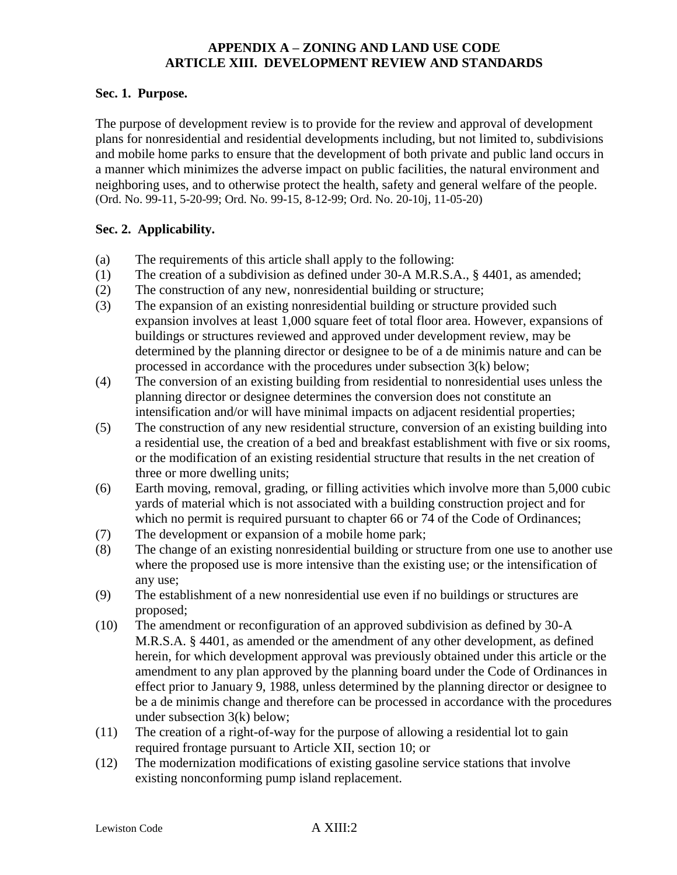### **Sec. 1. Purpose.**

The purpose of development review is to provide for the review and approval of development plans for nonresidential and residential developments including, but not limited to, subdivisions and mobile home parks to ensure that the development of both private and public land occurs in a manner which minimizes the adverse impact on public facilities, the natural environment and neighboring uses, and to otherwise protect the health, safety and general welfare of the people. (Ord. No. 99-11, 5-20-99; Ord. No. 99-15, 8-12-99; Ord. No. 20-10j, 11-05-20)

### **Sec. 2. Applicability.**

- (a) The requirements of this article shall apply to the following:
- (1) The creation of a subdivision as defined under 30-A M.R.S.A., § 4401, as amended;
- (2) The construction of any new, nonresidential building or structure;
- (3) The expansion of an existing nonresidential building or structure provided such expansion involves at least 1,000 square feet of total floor area. However, expansions of buildings or structures reviewed and approved under development review, may be determined by the planning director or designee to be of a de minimis nature and can be processed in accordance with the procedures under subsection 3(k) below;
- (4) The conversion of an existing building from residential to nonresidential uses unless the planning director or designee determines the conversion does not constitute an intensification and/or will have minimal impacts on adjacent residential properties;
- (5) The construction of any new residential structure, conversion of an existing building into a residential use, the creation of a bed and breakfast establishment with five or six rooms, or the modification of an existing residential structure that results in the net creation of three or more dwelling units;
- (6) Earth moving, removal, grading, or filling activities which involve more than 5,000 cubic yards of material which is not associated with a building construction project and for which no permit is required pursuant to chapter 66 or 74 of the Code of Ordinances;
- (7) The development or expansion of a mobile home park;
- (8) The change of an existing nonresidential building or structure from one use to another use where the proposed use is more intensive than the existing use; or the intensification of any use;
- (9) The establishment of a new nonresidential use even if no buildings or structures are proposed;
- (10) The amendment or reconfiguration of an approved subdivision as defined by 30-A M.R.S.A. § 4401, as amended or the amendment of any other development, as defined herein, for which development approval was previously obtained under this article or the amendment to any plan approved by the planning board under the Code of Ordinances in effect prior to January 9, 1988, unless determined by the planning director or designee to be a de minimis change and therefore can be processed in accordance with the procedures under subsection 3(k) below;
- (11) The creation of a right-of-way for the purpose of allowing a residential lot to gain required frontage pursuant to Article XII, section 10; or
- (12) The modernization modifications of existing gasoline service stations that involve existing nonconforming pump island replacement.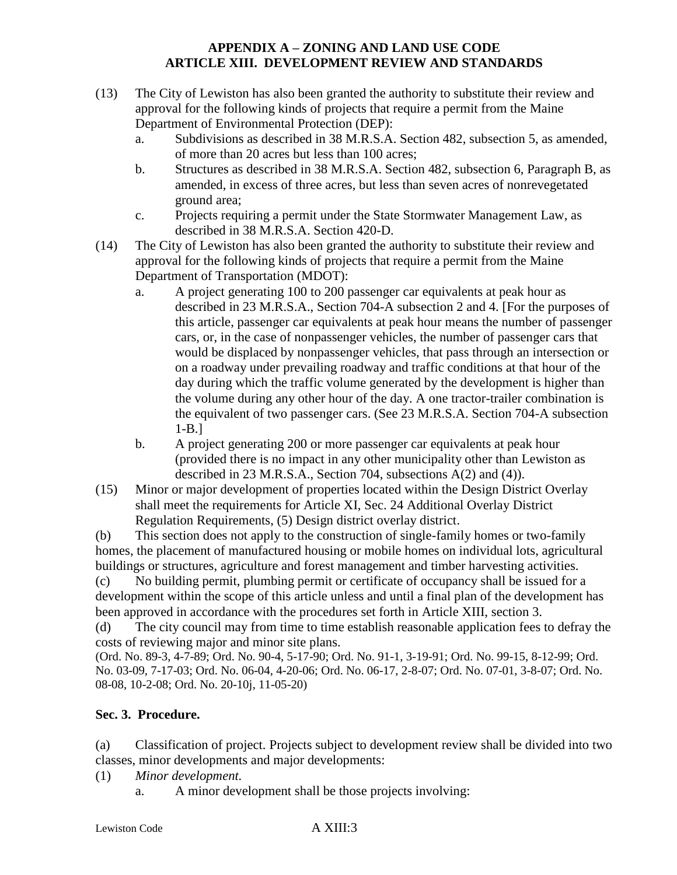- (13) The City of Lewiston has also been granted the authority to substitute their review and approval for the following kinds of projects that require a permit from the Maine Department of Environmental Protection (DEP):
	- a. Subdivisions as described in 38 M.R.S.A. Section 482, subsection 5, as amended, of more than 20 acres but less than 100 acres;
	- b. Structures as described in 38 M.R.S.A. Section 482, subsection 6, Paragraph B, as amended, in excess of three acres, but less than seven acres of nonrevegetated ground area;
	- c. Projects requiring a permit under the State Stormwater Management Law, as described in 38 M.R.S.A. Section 420-D.
- (14) The City of Lewiston has also been granted the authority to substitute their review and approval for the following kinds of projects that require a permit from the Maine Department of Transportation (MDOT):
	- a. A project generating 100 to 200 passenger car equivalents at peak hour as described in 23 M.R.S.A., Section 704-A subsection 2 and 4. [For the purposes of this article, passenger car equivalents at peak hour means the number of passenger cars, or, in the case of nonpassenger vehicles, the number of passenger cars that would be displaced by nonpassenger vehicles, that pass through an intersection or on a roadway under prevailing roadway and traffic conditions at that hour of the day during which the traffic volume generated by the development is higher than the volume during any other hour of the day. A one tractor-trailer combination is the equivalent of two passenger cars. (See 23 M.R.S.A. Section 704-A subsection 1-B.]
	- b. A project generating 200 or more passenger car equivalents at peak hour (provided there is no impact in any other municipality other than Lewiston as described in 23 M.R.S.A., Section 704, subsections A(2) and (4)).
- (15) Minor or major development of properties located within the Design District Overlay shall meet the requirements for Article XI, Sec. 24 Additional Overlay District Regulation Requirements, (5) Design district overlay district.

(b) This section does not apply to the construction of single-family homes or two-family homes, the placement of manufactured housing or mobile homes on individual lots, agricultural buildings or structures, agriculture and forest management and timber harvesting activities.

(c) No building permit, plumbing permit or certificate of occupancy shall be issued for a development within the scope of this article unless and until a final plan of the development has been approved in accordance with the procedures set forth in Article XIII, section 3.

(d) The city council may from time to time establish reasonable application fees to defray the costs of reviewing major and minor site plans.

(Ord. No. 89-3, 4-7-89; Ord. No. 90-4, 5-17-90; Ord. No. 91-1, 3-19-91; Ord. No. 99-15, 8-12-99; Ord. No. 03-09, 7-17-03; Ord. No. 06-04, 4-20-06; Ord. No. 06-17, 2-8-07; Ord. No. 07-01, 3-8-07; Ord. No. 08-08, 10-2-08; Ord. No. 20-10j, 11-05-20)

# **Sec. 3. Procedure.**

(a) Classification of project. Projects subject to development review shall be divided into two classes, minor developments and major developments:

- (1) *Minor development.*
	- a. A minor development shall be those projects involving: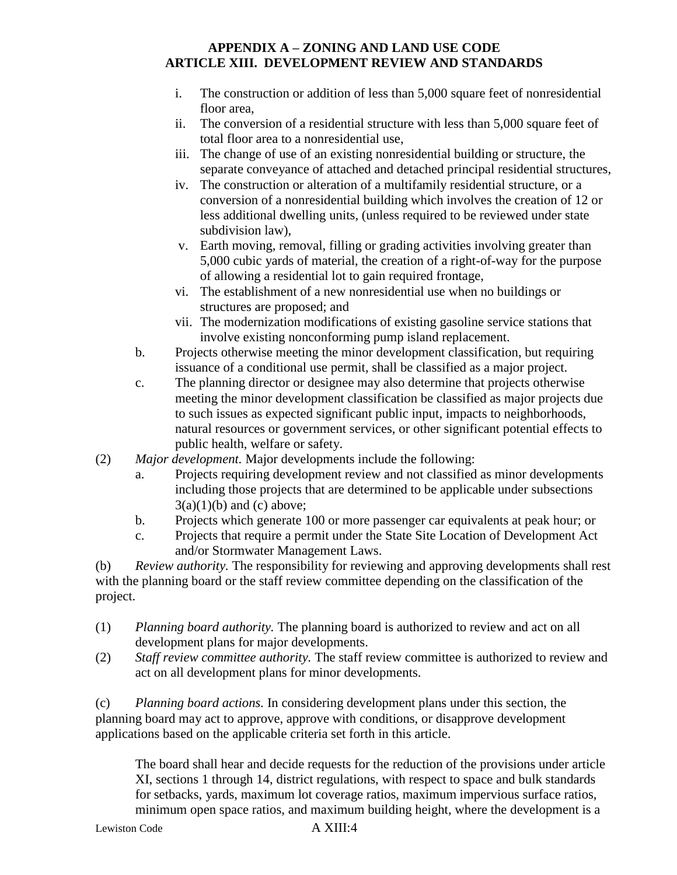- i. The construction or addition of less than 5,000 square feet of nonresidential floor area,
- ii. The conversion of a residential structure with less than 5,000 square feet of total floor area to a nonresidential use,
- iii. The change of use of an existing nonresidential building or structure, the separate conveyance of attached and detached principal residential structures,
- iv. The construction or alteration of a multifamily residential structure, or a conversion of a nonresidential building which involves the creation of 12 or less additional dwelling units, (unless required to be reviewed under state subdivision law),
- v. Earth moving, removal, filling or grading activities involving greater than 5,000 cubic yards of material, the creation of a right-of-way for the purpose of allowing a residential lot to gain required frontage,
- vi. The establishment of a new nonresidential use when no buildings or structures are proposed; and
- vii. The modernization modifications of existing gasoline service stations that involve existing nonconforming pump island replacement.
- b. Projects otherwise meeting the minor development classification, but requiring issuance of a conditional use permit, shall be classified as a major project.
- c. The planning director or designee may also determine that projects otherwise meeting the minor development classification be classified as major projects due to such issues as expected significant public input, impacts to neighborhoods, natural resources or government services, or other significant potential effects to public health, welfare or safety.
- (2) *Major development.* Major developments include the following:
	- a. Projects requiring development review and not classified as minor developments including those projects that are determined to be applicable under subsections  $3(a)(1)(b)$  and (c) above;
	- b. Projects which generate 100 or more passenger car equivalents at peak hour; or
	- c. Projects that require a permit under the State Site Location of Development Act and/or Stormwater Management Laws.

(b) *Review authority.* The responsibility for reviewing and approving developments shall rest with the planning board or the staff review committee depending on the classification of the project.

- (1) *Planning board authority.* The planning board is authorized to review and act on all development plans for major developments.
- (2) *Staff review committee authority.* The staff review committee is authorized to review and act on all development plans for minor developments.

(c) *Planning board actions.* In considering development plans under this section, the planning board may act to approve, approve with conditions, or disapprove development applications based on the applicable criteria set forth in this article.

The board shall hear and decide requests for the reduction of the provisions under article XI, sections 1 through 14, district regulations, with respect to space and bulk standards for setbacks, yards, maximum lot coverage ratios, maximum impervious surface ratios, minimum open space ratios, and maximum building height, where the development is a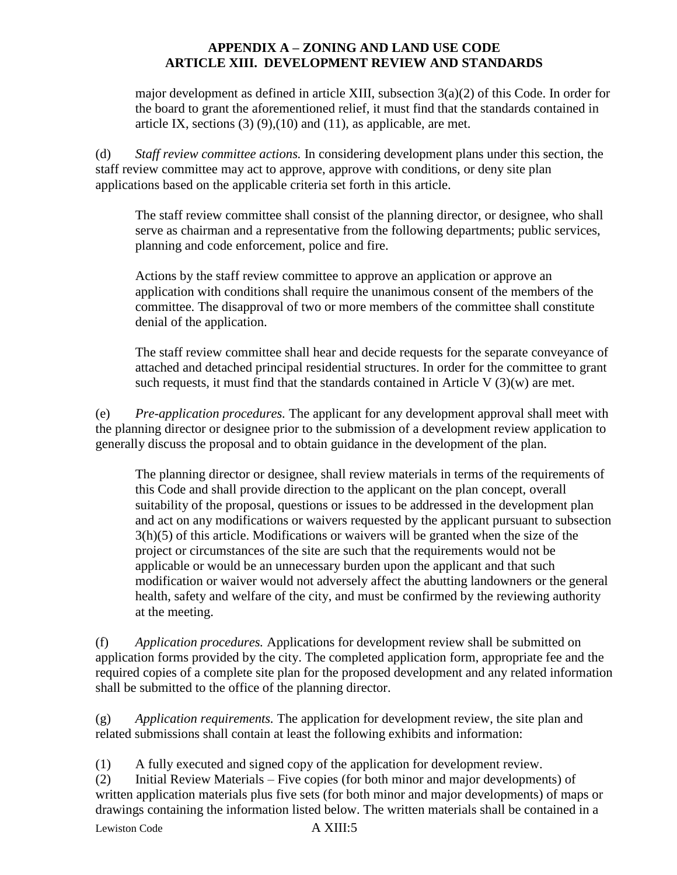major development as defined in article XIII, subsection  $3(a)(2)$  of this Code. In order for the board to grant the aforementioned relief, it must find that the standards contained in article IX, sections  $(3)(9)(10)$  and  $(11)$ , as applicable, are met.

(d) *Staff review committee actions.* In considering development plans under this section, the staff review committee may act to approve, approve with conditions, or deny site plan applications based on the applicable criteria set forth in this article.

The staff review committee shall consist of the planning director, or designee, who shall serve as chairman and a representative from the following departments; public services, planning and code enforcement, police and fire.

Actions by the staff review committee to approve an application or approve an application with conditions shall require the unanimous consent of the members of the committee. The disapproval of two or more members of the committee shall constitute denial of the application.

The staff review committee shall hear and decide requests for the separate conveyance of attached and detached principal residential structures. In order for the committee to grant such requests, it must find that the standards contained in Article V  $(3)(w)$  are met.

(e) *Pre-application procedures.* The applicant for any development approval shall meet with the planning director or designee prior to the submission of a development review application to generally discuss the proposal and to obtain guidance in the development of the plan.

The planning director or designee, shall review materials in terms of the requirements of this Code and shall provide direction to the applicant on the plan concept, overall suitability of the proposal, questions or issues to be addressed in the development plan and act on any modifications or waivers requested by the applicant pursuant to subsection 3(h)(5) of this article. Modifications or waivers will be granted when the size of the project or circumstances of the site are such that the requirements would not be applicable or would be an unnecessary burden upon the applicant and that such modification or waiver would not adversely affect the abutting landowners or the general health, safety and welfare of the city, and must be confirmed by the reviewing authority at the meeting.

(f) *Application procedures.* Applications for development review shall be submitted on application forms provided by the city. The completed application form, appropriate fee and the required copies of a complete site plan for the proposed development and any related information shall be submitted to the office of the planning director.

(g) *Application requirements.* The application for development review, the site plan and related submissions shall contain at least the following exhibits and information:

(1) A fully executed and signed copy of the application for development review.

Lewiston Code A XIII:5 (2) Initial Review Materials – Five copies (for both minor and major developments) of written application materials plus five sets (for both minor and major developments) of maps or drawings containing the information listed below. The written materials shall be contained in a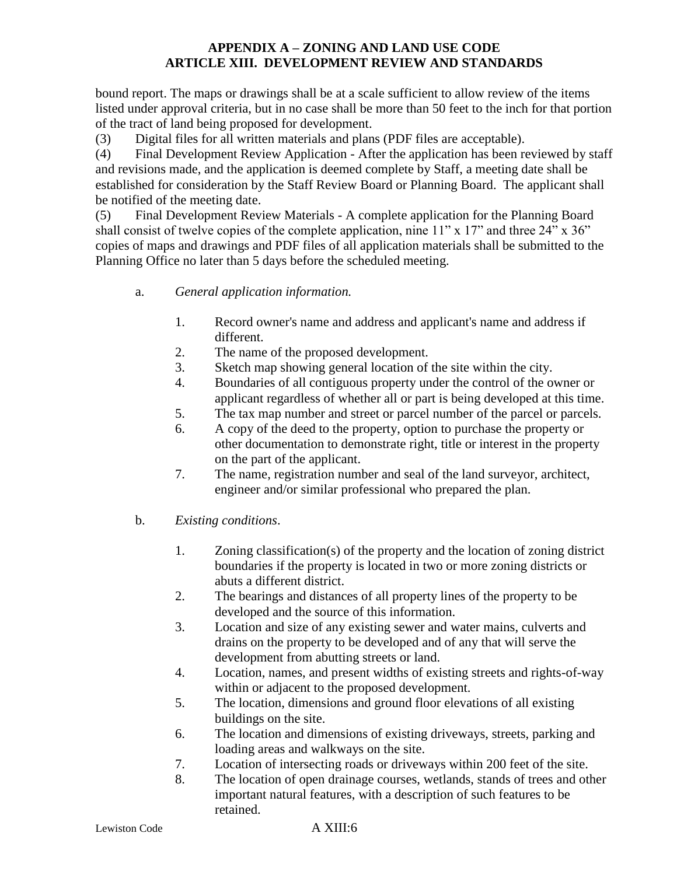bound report. The maps or drawings shall be at a scale sufficient to allow review of the items listed under approval criteria, but in no case shall be more than 50 feet to the inch for that portion of the tract of land being proposed for development.

(3) Digital files for all written materials and plans (PDF files are acceptable).

(4) Final Development Review Application - After the application has been reviewed by staff and revisions made, and the application is deemed complete by Staff, a meeting date shall be established for consideration by the Staff Review Board or Planning Board. The applicant shall be notified of the meeting date.

(5) Final Development Review Materials - A complete application for the Planning Board shall consist of twelve copies of the complete application, nine 11" x 17" and three 24" x 36" copies of maps and drawings and PDF files of all application materials shall be submitted to the Planning Office no later than 5 days before the scheduled meeting.

- a. *General application information.*
	- 1. Record owner's name and address and applicant's name and address if different.
	- 2. The name of the proposed development.
	- 3. Sketch map showing general location of the site within the city.
	- 4. Boundaries of all contiguous property under the control of the owner or applicant regardless of whether all or part is being developed at this time.
	- 5. The tax map number and street or parcel number of the parcel or parcels.
	- 6. A copy of the deed to the property, option to purchase the property or other documentation to demonstrate right, title or interest in the property on the part of the applicant.
	- 7. The name, registration number and seal of the land surveyor, architect, engineer and/or similar professional who prepared the plan.
- b. *Existing conditions*.
	- 1. Zoning classification(s) of the property and the location of zoning district boundaries if the property is located in two or more zoning districts or abuts a different district.
	- 2. The bearings and distances of all property lines of the property to be developed and the source of this information.
	- 3. Location and size of any existing sewer and water mains, culverts and drains on the property to be developed and of any that will serve the development from abutting streets or land.
	- 4. Location, names, and present widths of existing streets and rights-of-way within or adjacent to the proposed development.
	- 5. The location, dimensions and ground floor elevations of all existing buildings on the site.
	- 6. The location and dimensions of existing driveways, streets, parking and loading areas and walkways on the site.
	- 7. Location of intersecting roads or driveways within 200 feet of the site.
	- 8. The location of open drainage courses, wetlands, stands of trees and other important natural features, with a description of such features to be retained.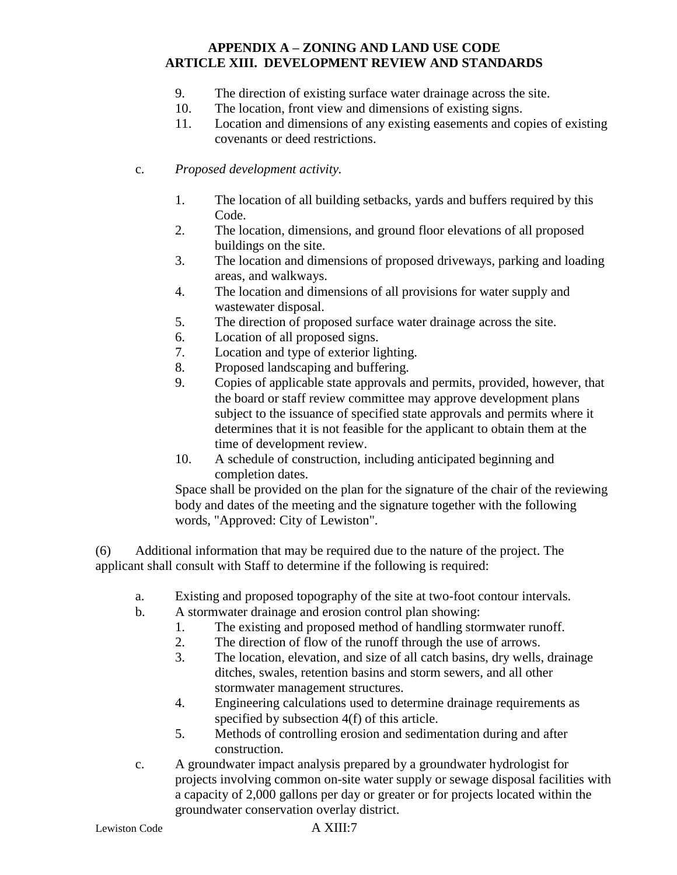- 9. The direction of existing surface water drainage across the site.
- 10. The location, front view and dimensions of existing signs.
- 11. Location and dimensions of any existing easements and copies of existing covenants or deed restrictions.
- c. *Proposed development activity.*
	- 1. The location of all building setbacks, yards and buffers required by this Code.
	- 2. The location, dimensions, and ground floor elevations of all proposed buildings on the site.
	- 3. The location and dimensions of proposed driveways, parking and loading areas, and walkways.
	- 4. The location and dimensions of all provisions for water supply and wastewater disposal.
	- 5. The direction of proposed surface water drainage across the site.
	- 6. Location of all proposed signs.
	- 7. Location and type of exterior lighting.
	- 8. Proposed landscaping and buffering.
	- 9. Copies of applicable state approvals and permits, provided, however, that the board or staff review committee may approve development plans subject to the issuance of specified state approvals and permits where it determines that it is not feasible for the applicant to obtain them at the time of development review.
	- 10. A schedule of construction, including anticipated beginning and completion dates.

Space shall be provided on the plan for the signature of the chair of the reviewing body and dates of the meeting and the signature together with the following words, "Approved: City of Lewiston".

(6) Additional information that may be required due to the nature of the project. The applicant shall consult with Staff to determine if the following is required:

- a. Existing and proposed topography of the site at two-foot contour intervals.
- b. A stormwater drainage and erosion control plan showing:
	- 1. The existing and proposed method of handling stormwater runoff.
	- 2. The direction of flow of the runoff through the use of arrows.
	- 3. The location, elevation, and size of all catch basins, dry wells, drainage ditches, swales, retention basins and storm sewers, and all other stormwater management structures.
	- 4. Engineering calculations used to determine drainage requirements as specified by subsection 4(f) of this article.
	- 5. Methods of controlling erosion and sedimentation during and after construction.
- c. A groundwater impact analysis prepared by a groundwater hydrologist for projects involving common on-site water supply or sewage disposal facilities with a capacity of 2,000 gallons per day or greater or for projects located within the groundwater conservation overlay district.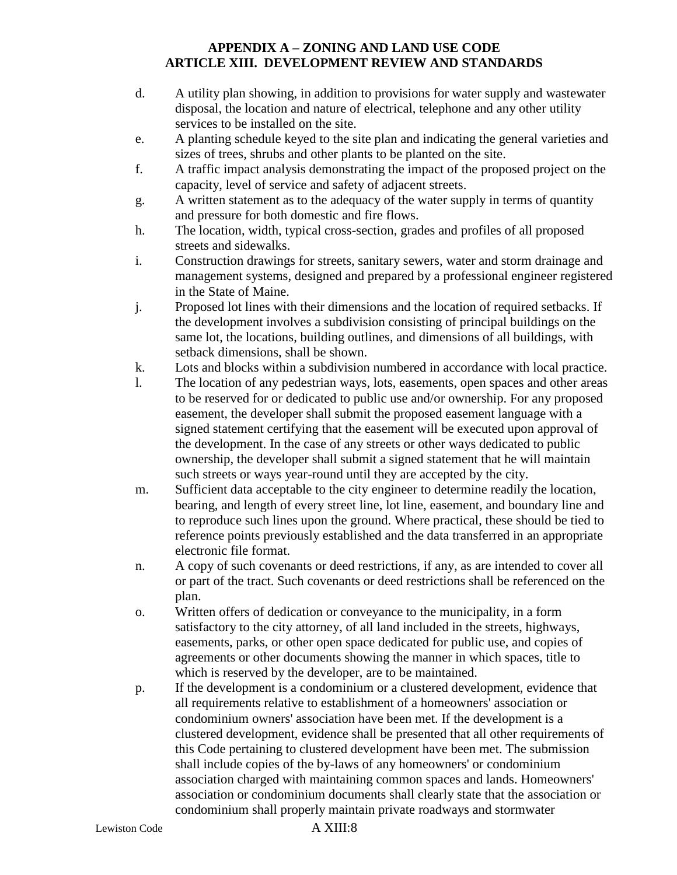- d. A utility plan showing, in addition to provisions for water supply and wastewater disposal, the location and nature of electrical, telephone and any other utility services to be installed on the site.
- e. A planting schedule keyed to the site plan and indicating the general varieties and sizes of trees, shrubs and other plants to be planted on the site.
- f. A traffic impact analysis demonstrating the impact of the proposed project on the capacity, level of service and safety of adjacent streets.
- g. A written statement as to the adequacy of the water supply in terms of quantity and pressure for both domestic and fire flows.
- h. The location, width, typical cross-section, grades and profiles of all proposed streets and sidewalks.
- i. Construction drawings for streets, sanitary sewers, water and storm drainage and management systems, designed and prepared by a professional engineer registered in the State of Maine.
- j. Proposed lot lines with their dimensions and the location of required setbacks. If the development involves a subdivision consisting of principal buildings on the same lot, the locations, building outlines, and dimensions of all buildings, with setback dimensions, shall be shown.
- k. Lots and blocks within a subdivision numbered in accordance with local practice.
- l. The location of any pedestrian ways, lots, easements, open spaces and other areas to be reserved for or dedicated to public use and/or ownership. For any proposed easement, the developer shall submit the proposed easement language with a signed statement certifying that the easement will be executed upon approval of the development. In the case of any streets or other ways dedicated to public ownership, the developer shall submit a signed statement that he will maintain such streets or ways year-round until they are accepted by the city.
- m. Sufficient data acceptable to the city engineer to determine readily the location, bearing, and length of every street line, lot line, easement, and boundary line and to reproduce such lines upon the ground. Where practical, these should be tied to reference points previously established and the data transferred in an appropriate electronic file format.
- n. A copy of such covenants or deed restrictions, if any, as are intended to cover all or part of the tract. Such covenants or deed restrictions shall be referenced on the plan.
- o. Written offers of dedication or conveyance to the municipality, in a form satisfactory to the city attorney, of all land included in the streets, highways, easements, parks, or other open space dedicated for public use, and copies of agreements or other documents showing the manner in which spaces, title to which is reserved by the developer, are to be maintained.
- p. If the development is a condominium or a clustered development, evidence that all requirements relative to establishment of a homeowners' association or condominium owners' association have been met. If the development is a clustered development, evidence shall be presented that all other requirements of this Code pertaining to clustered development have been met. The submission shall include copies of the by-laws of any homeowners' or condominium association charged with maintaining common spaces and lands. Homeowners' association or condominium documents shall clearly state that the association or condominium shall properly maintain private roadways and stormwater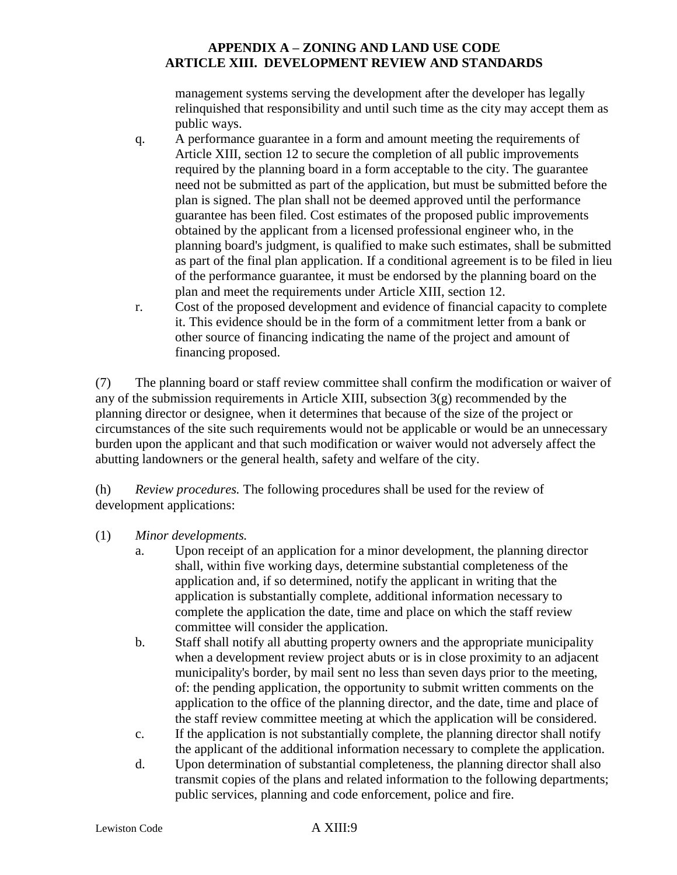management systems serving the development after the developer has legally relinquished that responsibility and until such time as the city may accept them as public ways.

- q. A performance guarantee in a form and amount meeting the requirements of Article XIII, section 12 to secure the completion of all public improvements required by the planning board in a form acceptable to the city. The guarantee need not be submitted as part of the application, but must be submitted before the plan is signed. The plan shall not be deemed approved until the performance guarantee has been filed. Cost estimates of the proposed public improvements obtained by the applicant from a licensed professional engineer who, in the planning board's judgment, is qualified to make such estimates, shall be submitted as part of the final plan application. If a conditional agreement is to be filed in lieu of the performance guarantee, it must be endorsed by the planning board on the plan and meet the requirements under Article XIII, section 12.
- r. Cost of the proposed development and evidence of financial capacity to complete it. This evidence should be in the form of a commitment letter from a bank or other source of financing indicating the name of the project and amount of financing proposed.

(7) The planning board or staff review committee shall confirm the modification or waiver of any of the submission requirements in Article XIII, subsection 3(g) recommended by the planning director or designee, when it determines that because of the size of the project or circumstances of the site such requirements would not be applicable or would be an unnecessary burden upon the applicant and that such modification or waiver would not adversely affect the abutting landowners or the general health, safety and welfare of the city.

(h) *Review procedures.* The following procedures shall be used for the review of development applications:

- (1) *Minor developments.*
	- a. Upon receipt of an application for a minor development, the planning director shall, within five working days, determine substantial completeness of the application and, if so determined, notify the applicant in writing that the application is substantially complete, additional information necessary to complete the application the date, time and place on which the staff review committee will consider the application.
	- b. Staff shall notify all abutting property owners and the appropriate municipality when a development review project abuts or is in close proximity to an adjacent municipality's border, by mail sent no less than seven days prior to the meeting, of: the pending application, the opportunity to submit written comments on the application to the office of the planning director, and the date, time and place of the staff review committee meeting at which the application will be considered.
	- c. If the application is not substantially complete, the planning director shall notify the applicant of the additional information necessary to complete the application.
	- d. Upon determination of substantial completeness, the planning director shall also transmit copies of the plans and related information to the following departments; public services, planning and code enforcement, police and fire.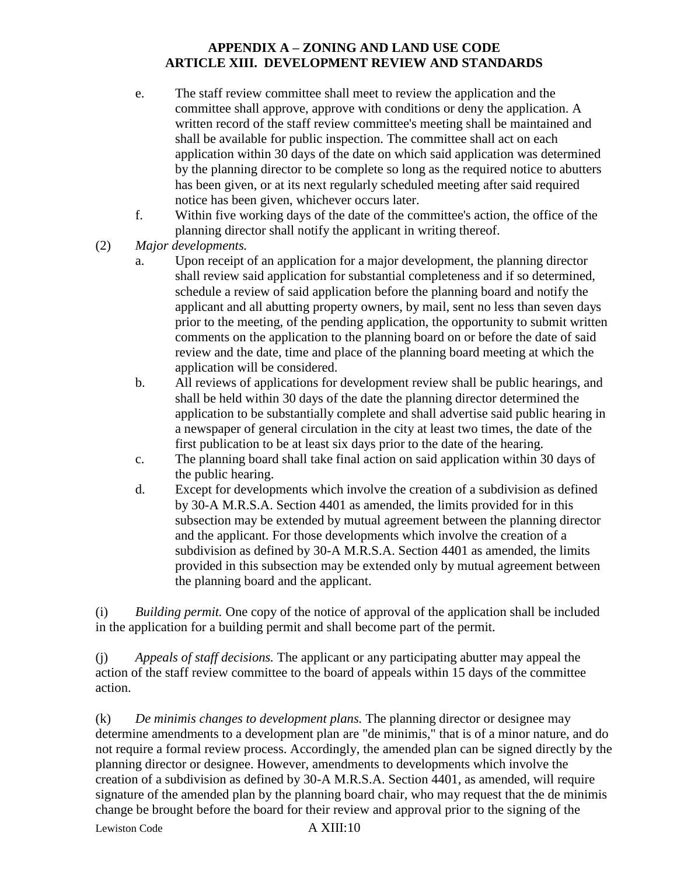- e. The staff review committee shall meet to review the application and the committee shall approve, approve with conditions or deny the application. A written record of the staff review committee's meeting shall be maintained and shall be available for public inspection. The committee shall act on each application within 30 days of the date on which said application was determined by the planning director to be complete so long as the required notice to abutters has been given, or at its next regularly scheduled meeting after said required notice has been given, whichever occurs later.
- f. Within five working days of the date of the committee's action, the office of the planning director shall notify the applicant in writing thereof.
- (2) *Major developments.*
	- a. Upon receipt of an application for a major development, the planning director shall review said application for substantial completeness and if so determined, schedule a review of said application before the planning board and notify the applicant and all abutting property owners, by mail, sent no less than seven days prior to the meeting, of the pending application, the opportunity to submit written comments on the application to the planning board on or before the date of said review and the date, time and place of the planning board meeting at which the application will be considered.
	- b. All reviews of applications for development review shall be public hearings, and shall be held within 30 days of the date the planning director determined the application to be substantially complete and shall advertise said public hearing in a newspaper of general circulation in the city at least two times, the date of the first publication to be at least six days prior to the date of the hearing.
	- c. The planning board shall take final action on said application within 30 days of the public hearing.
	- d. Except for developments which involve the creation of a subdivision as defined by 30-A M.R.S.A. Section 4401 as amended, the limits provided for in this subsection may be extended by mutual agreement between the planning director and the applicant. For those developments which involve the creation of a subdivision as defined by 30-A M.R.S.A. Section 4401 as amended, the limits provided in this subsection may be extended only by mutual agreement between the planning board and the applicant.

(i) *Building permit.* One copy of the notice of approval of the application shall be included in the application for a building permit and shall become part of the permit.

(j) *Appeals of staff decisions.* The applicant or any participating abutter may appeal the action of the staff review committee to the board of appeals within 15 days of the committee action.

Lewiston Code A XIII:10 (k) *De minimis changes to development plans.* The planning director or designee may determine amendments to a development plan are "de minimis," that is of a minor nature, and do not require a formal review process. Accordingly, the amended plan can be signed directly by the planning director or designee. However, amendments to developments which involve the creation of a subdivision as defined by 30-A M.R.S.A. Section 4401, as amended, will require signature of the amended plan by the planning board chair, who may request that the de minimis change be brought before the board for their review and approval prior to the signing of the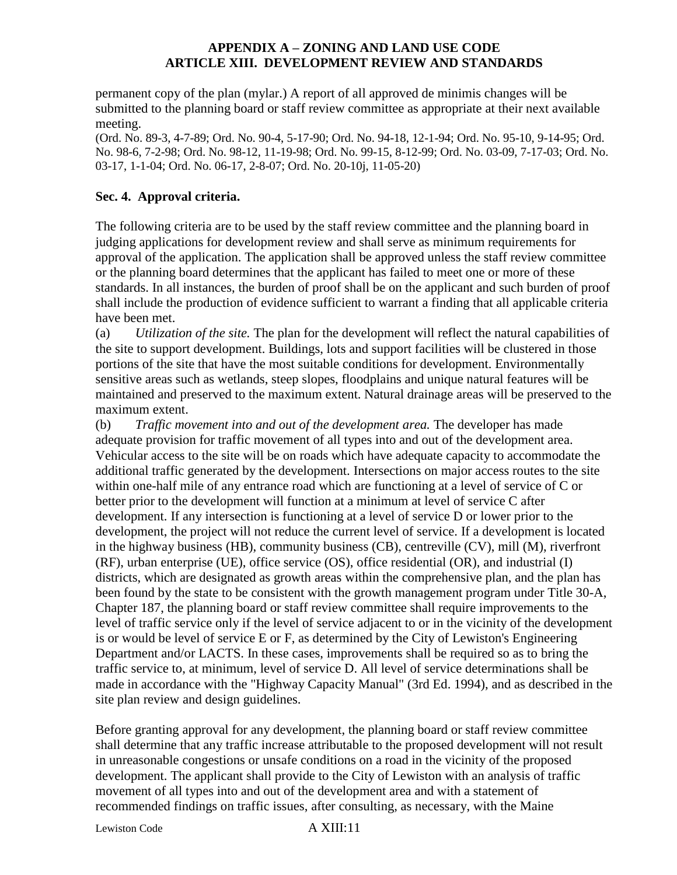permanent copy of the plan (mylar.) A report of all approved de minimis changes will be submitted to the planning board or staff review committee as appropriate at their next available meeting.

(Ord. No. 89-3, 4-7-89; Ord. No. 90-4, 5-17-90; Ord. No. 94-18, 12-1-94; Ord. No. 95-10, 9-14-95; Ord. No. 98-6, 7-2-98; Ord. No. 98-12, 11-19-98; Ord. No. 99-15, 8-12-99; Ord. No. 03-09, 7-17-03; Ord. No. 03-17, 1-1-04; Ord. No. 06-17, 2-8-07; Ord. No. 20-10j, 11-05-20)

#### **Sec. 4. Approval criteria.**

The following criteria are to be used by the staff review committee and the planning board in judging applications for development review and shall serve as minimum requirements for approval of the application. The application shall be approved unless the staff review committee or the planning board determines that the applicant has failed to meet one or more of these standards. In all instances, the burden of proof shall be on the applicant and such burden of proof shall include the production of evidence sufficient to warrant a finding that all applicable criteria have been met.

(a) *Utilization of the site.* The plan for the development will reflect the natural capabilities of the site to support development. Buildings, lots and support facilities will be clustered in those portions of the site that have the most suitable conditions for development. Environmentally sensitive areas such as wetlands, steep slopes, floodplains and unique natural features will be maintained and preserved to the maximum extent. Natural drainage areas will be preserved to the maximum extent.

(b) *Traffic movement into and out of the development area.* The developer has made adequate provision for traffic movement of all types into and out of the development area. Vehicular access to the site will be on roads which have adequate capacity to accommodate the additional traffic generated by the development. Intersections on major access routes to the site within one-half mile of any entrance road which are functioning at a level of service of C or better prior to the development will function at a minimum at level of service C after development. If any intersection is functioning at a level of service D or lower prior to the development, the project will not reduce the current level of service. If a development is located in the highway business (HB), community business (CB), centreville (CV), mill (M), riverfront (RF), urban enterprise (UE), office service (OS), office residential (OR), and industrial (I) districts, which are designated as growth areas within the comprehensive plan, and the plan has been found by the state to be consistent with the growth management program under Title 30-A, Chapter 187, the planning board or staff review committee shall require improvements to the level of traffic service only if the level of service adjacent to or in the vicinity of the development is or would be level of service E or F, as determined by the City of Lewiston's Engineering Department and/or LACTS. In these cases, improvements shall be required so as to bring the traffic service to, at minimum, level of service D. All level of service determinations shall be made in accordance with the "Highway Capacity Manual" (3rd Ed. 1994), and as described in the site plan review and design guidelines.

Before granting approval for any development, the planning board or staff review committee shall determine that any traffic increase attributable to the proposed development will not result in unreasonable congestions or unsafe conditions on a road in the vicinity of the proposed development. The applicant shall provide to the City of Lewiston with an analysis of traffic movement of all types into and out of the development area and with a statement of recommended findings on traffic issues, after consulting, as necessary, with the Maine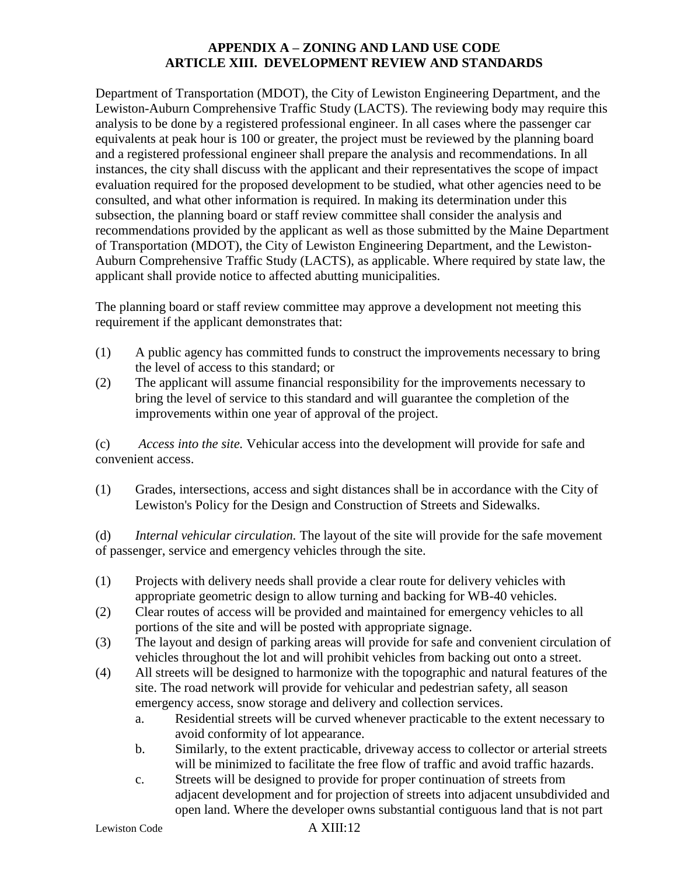Department of Transportation (MDOT), the City of Lewiston Engineering Department, and the Lewiston-Auburn Comprehensive Traffic Study (LACTS). The reviewing body may require this analysis to be done by a registered professional engineer. In all cases where the passenger car equivalents at peak hour is 100 or greater, the project must be reviewed by the planning board and a registered professional engineer shall prepare the analysis and recommendations. In all instances, the city shall discuss with the applicant and their representatives the scope of impact evaluation required for the proposed development to be studied, what other agencies need to be consulted, and what other information is required. In making its determination under this subsection, the planning board or staff review committee shall consider the analysis and recommendations provided by the applicant as well as those submitted by the Maine Department of Transportation (MDOT), the City of Lewiston Engineering Department, and the Lewiston-Auburn Comprehensive Traffic Study (LACTS), as applicable. Where required by state law, the applicant shall provide notice to affected abutting municipalities.

The planning board or staff review committee may approve a development not meeting this requirement if the applicant demonstrates that:

- (1) A public agency has committed funds to construct the improvements necessary to bring the level of access to this standard; or
- (2) The applicant will assume financial responsibility for the improvements necessary to bring the level of service to this standard and will guarantee the completion of the improvements within one year of approval of the project.

(c) *Access into the site.* Vehicular access into the development will provide for safe and convenient access.

(1) Grades, intersections, access and sight distances shall be in accordance with the City of Lewiston's Policy for the Design and Construction of Streets and Sidewalks.

(d) *Internal vehicular circulation.* The layout of the site will provide for the safe movement of passenger, service and emergency vehicles through the site.

- (1) Projects with delivery needs shall provide a clear route for delivery vehicles with appropriate geometric design to allow turning and backing for WB-40 vehicles.
- (2) Clear routes of access will be provided and maintained for emergency vehicles to all portions of the site and will be posted with appropriate signage.
- (3) The layout and design of parking areas will provide for safe and convenient circulation of vehicles throughout the lot and will prohibit vehicles from backing out onto a street.
- (4) All streets will be designed to harmonize with the topographic and natural features of the site. The road network will provide for vehicular and pedestrian safety, all season emergency access, snow storage and delivery and collection services.
	- a. Residential streets will be curved whenever practicable to the extent necessary to avoid conformity of lot appearance.
	- b. Similarly, to the extent practicable, driveway access to collector or arterial streets will be minimized to facilitate the free flow of traffic and avoid traffic hazards.
	- c. Streets will be designed to provide for proper continuation of streets from adjacent development and for projection of streets into adjacent unsubdivided and open land. Where the developer owns substantial contiguous land that is not part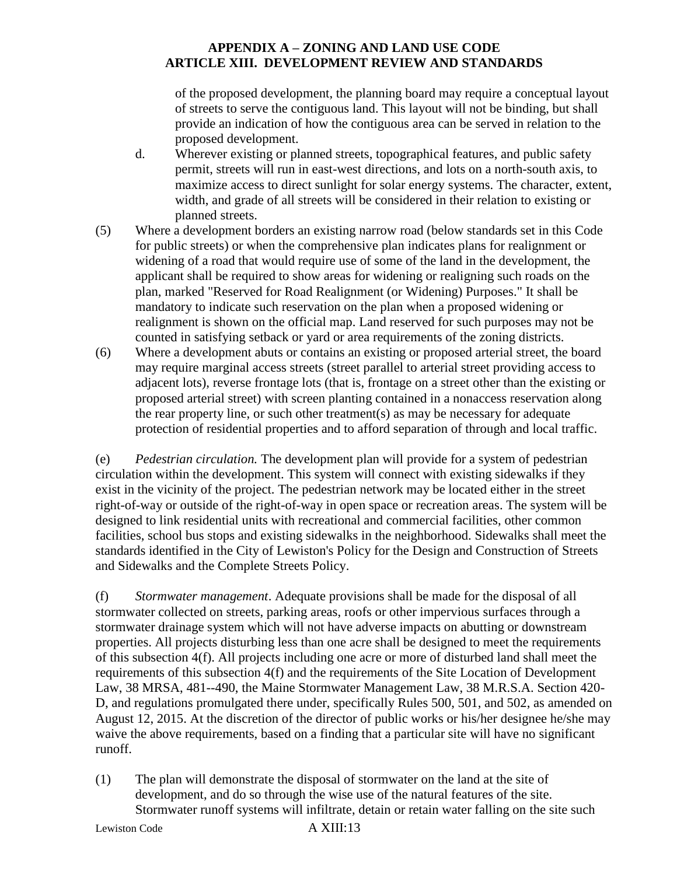of the proposed development, the planning board may require a conceptual layout of streets to serve the contiguous land. This layout will not be binding, but shall provide an indication of how the contiguous area can be served in relation to the proposed development.

- d. Wherever existing or planned streets, topographical features, and public safety permit, streets will run in east-west directions, and lots on a north-south axis, to maximize access to direct sunlight for solar energy systems. The character, extent, width, and grade of all streets will be considered in their relation to existing or planned streets.
- (5) Where a development borders an existing narrow road (below standards set in this Code for public streets) or when the comprehensive plan indicates plans for realignment or widening of a road that would require use of some of the land in the development, the applicant shall be required to show areas for widening or realigning such roads on the plan, marked "Reserved for Road Realignment (or Widening) Purposes." It shall be mandatory to indicate such reservation on the plan when a proposed widening or realignment is shown on the official map. Land reserved for such purposes may not be counted in satisfying setback or yard or area requirements of the zoning districts.
- (6) Where a development abuts or contains an existing or proposed arterial street, the board may require marginal access streets (street parallel to arterial street providing access to adjacent lots), reverse frontage lots (that is, frontage on a street other than the existing or proposed arterial street) with screen planting contained in a nonaccess reservation along the rear property line, or such other treatment(s) as may be necessary for adequate protection of residential properties and to afford separation of through and local traffic.

(e) *Pedestrian circulation.* The development plan will provide for a system of pedestrian circulation within the development. This system will connect with existing sidewalks if they exist in the vicinity of the project. The pedestrian network may be located either in the street right-of-way or outside of the right-of-way in open space or recreation areas. The system will be designed to link residential units with recreational and commercial facilities, other common facilities, school bus stops and existing sidewalks in the neighborhood. Sidewalks shall meet the standards identified in the City of Lewiston's Policy for the Design and Construction of Streets and Sidewalks and the Complete Streets Policy.

(f) *Stormwater management*. Adequate provisions shall be made for the disposal of all stormwater collected on streets, parking areas, roofs or other impervious surfaces through a stormwater drainage system which will not have adverse impacts on abutting or downstream properties. All projects disturbing less than one acre shall be designed to meet the requirements of this subsection 4(f). All projects including one acre or more of disturbed land shall meet the requirements of this subsection 4(f) and the requirements of the Site Location of Development Law, 38 MRSA, 481--490, the Maine Stormwater Management Law, 38 M.R.S.A. Section 420- D, and regulations promulgated there under, specifically Rules 500, 501, and 502, as amended on August 12, 2015. At the discretion of the director of public works or his/her designee he/she may waive the above requirements, based on a finding that a particular site will have no significant runoff.

(1) The plan will demonstrate the disposal of stormwater on the land at the site of development, and do so through the wise use of the natural features of the site. Stormwater runoff systems will infiltrate, detain or retain water falling on the site such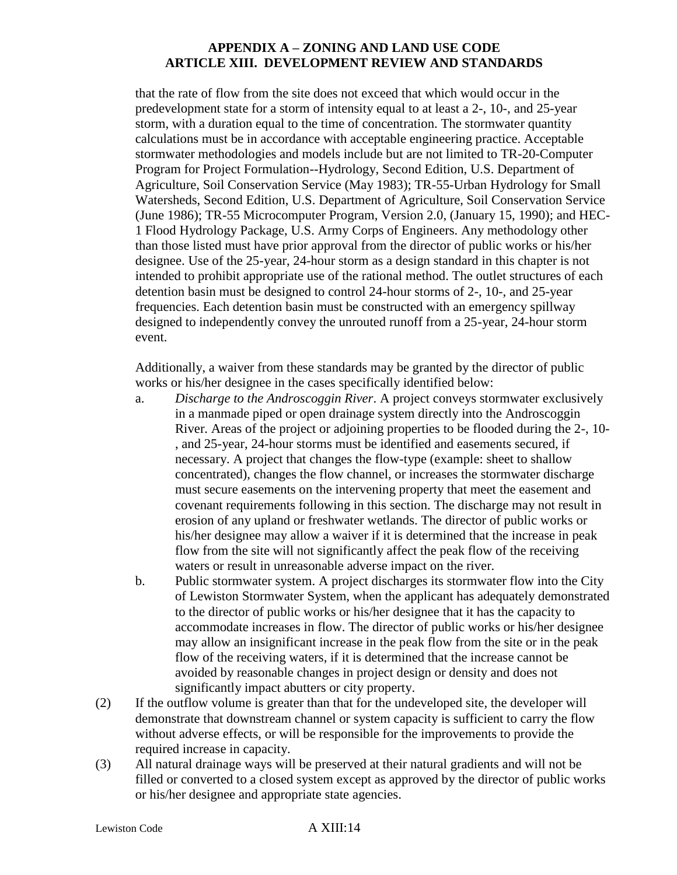that the rate of flow from the site does not exceed that which would occur in the predevelopment state for a storm of intensity equal to at least a 2-, 10-, and 25-year storm, with a duration equal to the time of concentration. The stormwater quantity calculations must be in accordance with acceptable engineering practice. Acceptable stormwater methodologies and models include but are not limited to TR-20-Computer Program for Project Formulation--Hydrology, Second Edition, U.S. Department of Agriculture, Soil Conservation Service (May 1983); TR-55-Urban Hydrology for Small Watersheds, Second Edition, U.S. Department of Agriculture, Soil Conservation Service (June 1986); TR-55 Microcomputer Program, Version 2.0, (January 15, 1990); and HEC-1 Flood Hydrology Package, U.S. Army Corps of Engineers. Any methodology other than those listed must have prior approval from the director of public works or his/her designee. Use of the 25-year, 24-hour storm as a design standard in this chapter is not intended to prohibit appropriate use of the rational method. The outlet structures of each detention basin must be designed to control 24-hour storms of 2-, 10-, and 25-year frequencies. Each detention basin must be constructed with an emergency spillway designed to independently convey the unrouted runoff from a 25-year, 24-hour storm event.

Additionally, a waiver from these standards may be granted by the director of public works or his/her designee in the cases specifically identified below:

- a. *Discharge to the Androscoggin River*. A project conveys stormwater exclusively in a manmade piped or open drainage system directly into the Androscoggin River. Areas of the project or adjoining properties to be flooded during the 2-, 10- , and 25-year, 24-hour storms must be identified and easements secured, if necessary. A project that changes the flow-type (example: sheet to shallow concentrated), changes the flow channel, or increases the stormwater discharge must secure easements on the intervening property that meet the easement and covenant requirements following in this section. The discharge may not result in erosion of any upland or freshwater wetlands. The director of public works or his/her designee may allow a waiver if it is determined that the increase in peak flow from the site will not significantly affect the peak flow of the receiving waters or result in unreasonable adverse impact on the river.
- b. Public stormwater system. A project discharges its stormwater flow into the City of Lewiston Stormwater System, when the applicant has adequately demonstrated to the director of public works or his/her designee that it has the capacity to accommodate increases in flow. The director of public works or his/her designee may allow an insignificant increase in the peak flow from the site or in the peak flow of the receiving waters, if it is determined that the increase cannot be avoided by reasonable changes in project design or density and does not significantly impact abutters or city property.
- (2) If the outflow volume is greater than that for the undeveloped site, the developer will demonstrate that downstream channel or system capacity is sufficient to carry the flow without adverse effects, or will be responsible for the improvements to provide the required increase in capacity.
- (3) All natural drainage ways will be preserved at their natural gradients and will not be filled or converted to a closed system except as approved by the director of public works or his/her designee and appropriate state agencies.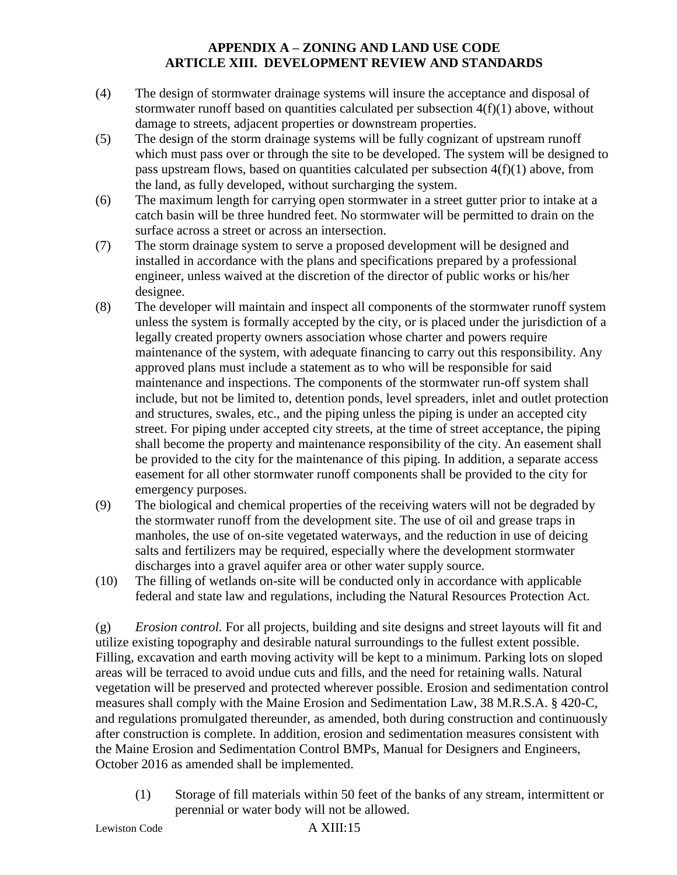- (4) The design of stormwater drainage systems will insure the acceptance and disposal of stormwater runoff based on quantities calculated per subsection  $4(f)(1)$  above, without damage to streets, adjacent properties or downstream properties.
- (5) The design of the storm drainage systems will be fully cognizant of upstream runoff which must pass over or through the site to be developed. The system will be designed to pass upstream flows, based on quantities calculated per subsection 4(f)(1) above, from the land, as fully developed, without surcharging the system.
- (6) The maximum length for carrying open stormwater in a street gutter prior to intake at a catch basin will be three hundred feet. No stormwater will be permitted to drain on the surface across a street or across an intersection.
- (7) The storm drainage system to serve a proposed development will be designed and installed in accordance with the plans and specifications prepared by a professional engineer, unless waived at the discretion of the director of public works or his/her designee.
- (8) The developer will maintain and inspect all components of the stormwater runoff system unless the system is formally accepted by the city, or is placed under the jurisdiction of a legally created property owners association whose charter and powers require maintenance of the system, with adequate financing to carry out this responsibility. Any approved plans must include a statement as to who will be responsible for said maintenance and inspections. The components of the stormwater run-off system shall include, but not be limited to, detention ponds, level spreaders, inlet and outlet protection and structures, swales, etc., and the piping unless the piping is under an accepted city street. For piping under accepted city streets, at the time of street acceptance, the piping shall become the property and maintenance responsibility of the city. An easement shall be provided to the city for the maintenance of this piping. In addition, a separate access easement for all other stormwater runoff components shall be provided to the city for emergency purposes.
- (9) The biological and chemical properties of the receiving waters will not be degraded by the stormwater runoff from the development site. The use of oil and grease traps in manholes, the use of on-site vegetated waterways, and the reduction in use of deicing salts and fertilizers may be required, especially where the development stormwater discharges into a gravel aquifer area or other water supply source.
- (10) The filling of wetlands on-site will be conducted only in accordance with applicable federal and state law and regulations, including the Natural Resources Protection Act.

(g) *Erosion control.* For all projects, building and site designs and street layouts will fit and utilize existing topography and desirable natural surroundings to the fullest extent possible. Filling, excavation and earth moving activity will be kept to a minimum. Parking lots on sloped areas will be terraced to avoid undue cuts and fills, and the need for retaining walls. Natural vegetation will be preserved and protected wherever possible. Erosion and sedimentation control measures shall comply with the Maine Erosion and Sedimentation Law, 38 M.R.S.A. § 420-C, and regulations promulgated thereunder, as amended, both during construction and continuously after construction is complete. In addition, erosion and sedimentation measures consistent with the Maine Erosion and Sedimentation Control BMPs, Manual for Designers and Engineers, October 2016 as amended shall be implemented.

(1) Storage of fill materials within 50 feet of the banks of any stream, intermittent or perennial or water body will not be allowed.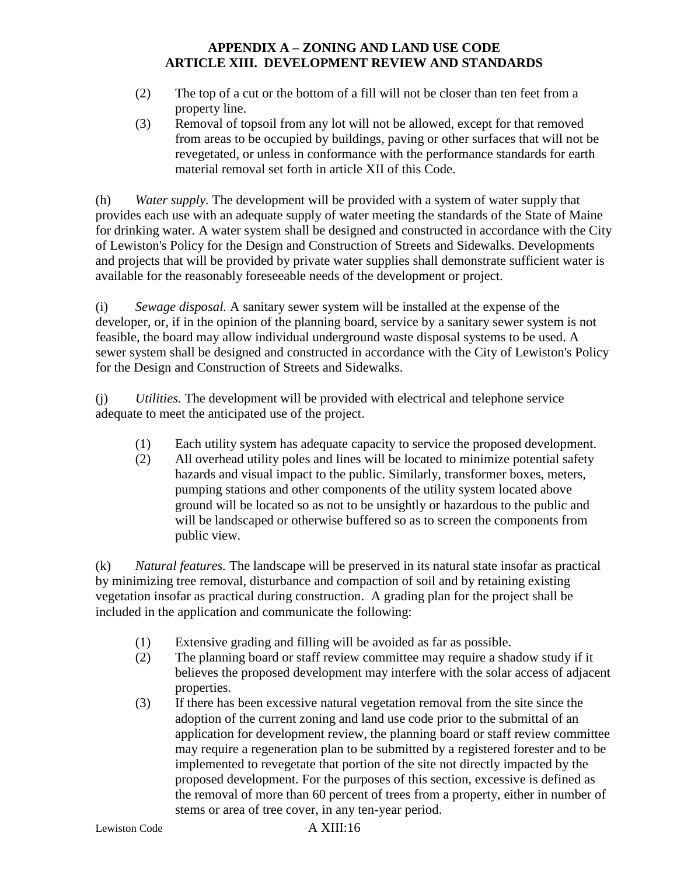- (2) The top of a cut or the bottom of a fill will not be closer than ten feet from a property line.
- (3) Removal of topsoil from any lot will not be allowed, except for that removed from areas to be occupied by buildings, paving or other surfaces that will not be revegetated, or unless in conformance with the performance standards for earth material removal set forth in article XII of this Code.

(h) *Water supply.* The development will be provided with a system of water supply that provides each use with an adequate supply of water meeting the standards of the State of Maine for drinking water. A water system shall be designed and constructed in accordance with the City of Lewiston's Policy for the Design and Construction of Streets and Sidewalks. Developments and projects that will be provided by private water supplies shall demonstrate sufficient water is available for the reasonably foreseeable needs of the development or project.

(i) *Sewage disposal.* A sanitary sewer system will be installed at the expense of the developer, or, if in the opinion of the planning board, service by a sanitary sewer system is not feasible, the board may allow individual underground waste disposal systems to be used. A sewer system shall be designed and constructed in accordance with the City of Lewiston's Policy for the Design and Construction of Streets and Sidewalks.

(j) *Utilities.* The development will be provided with electrical and telephone service adequate to meet the anticipated use of the project.

- (1) Each utility system has adequate capacity to service the proposed development.
- (2) All overhead utility poles and lines will be located to minimize potential safety hazards and visual impact to the public. Similarly, transformer boxes, meters, pumping stations and other components of the utility system located above ground will be located so as not to be unsightly or hazardous to the public and will be landscaped or otherwise buffered so as to screen the components from public view.

(k) *Natural features.* The landscape will be preserved in its natural state insofar as practical by minimizing tree removal, disturbance and compaction of soil and by retaining existing vegetation insofar as practical during construction. A grading plan for the project shall be included in the application and communicate the following:

- (1) Extensive grading and filling will be avoided as far as possible.
- (2) The planning board or staff review committee may require a shadow study if it believes the proposed development may interfere with the solar access of adjacent properties.
- (3) If there has been excessive natural vegetation removal from the site since the adoption of the current zoning and land use code prior to the submittal of an application for development review, the planning board or staff review committee may require a regeneration plan to be submitted by a registered forester and to be implemented to revegetate that portion of the site not directly impacted by the proposed development. For the purposes of this section, excessive is defined as the removal of more than 60 percent of trees from a property, either in number of stems or area of tree cover, in any ten-year period.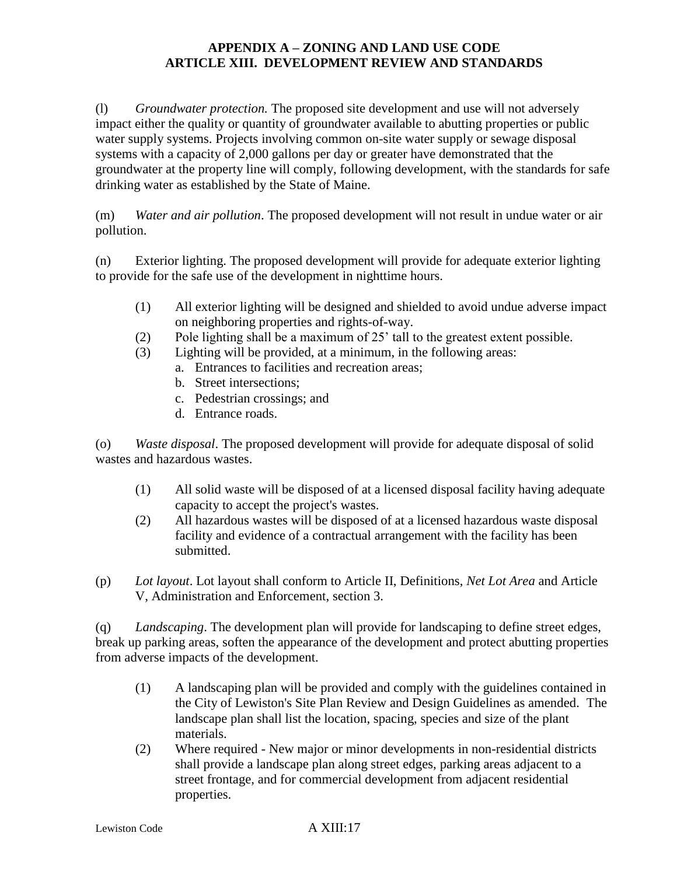(l) *Groundwater protection.* The proposed site development and use will not adversely impact either the quality or quantity of groundwater available to abutting properties or public water supply systems. Projects involving common on-site water supply or sewage disposal systems with a capacity of 2,000 gallons per day or greater have demonstrated that the groundwater at the property line will comply, following development, with the standards for safe drinking water as established by the State of Maine.

(m) *Water and air pollution*. The proposed development will not result in undue water or air pollution.

(n) Exterior lighting. The proposed development will provide for adequate exterior lighting to provide for the safe use of the development in nighttime hours.

- (1) All exterior lighting will be designed and shielded to avoid undue adverse impact on neighboring properties and rights-of-way.
- (2) Pole lighting shall be a maximum of 25' tall to the greatest extent possible.
- (3) Lighting will be provided, at a minimum, in the following areas:
	- a. Entrances to facilities and recreation areas;
	- b. Street intersections;
	- c. Pedestrian crossings; and
	- d. Entrance roads.

(o) *Waste disposal*. The proposed development will provide for adequate disposal of solid wastes and hazardous wastes.

- (1) All solid waste will be disposed of at a licensed disposal facility having adequate capacity to accept the project's wastes.
- (2) All hazardous wastes will be disposed of at a licensed hazardous waste disposal facility and evidence of a contractual arrangement with the facility has been submitted.
- (p) *Lot layout*. Lot layout shall conform to Article II, Definitions, *Net Lot Area* and Article V, Administration and Enforcement, section 3.

(q) *Landscaping*. The development plan will provide for landscaping to define street edges, break up parking areas, soften the appearance of the development and protect abutting properties from adverse impacts of the development.

- (1) A landscaping plan will be provided and comply with the guidelines contained in the City of Lewiston's Site Plan Review and Design Guidelines as amended. The landscape plan shall list the location, spacing, species and size of the plant materials.
- (2) Where required New major or minor developments in non-residential districts shall provide a landscape plan along street edges, parking areas adjacent to a street frontage, and for commercial development from adjacent residential properties.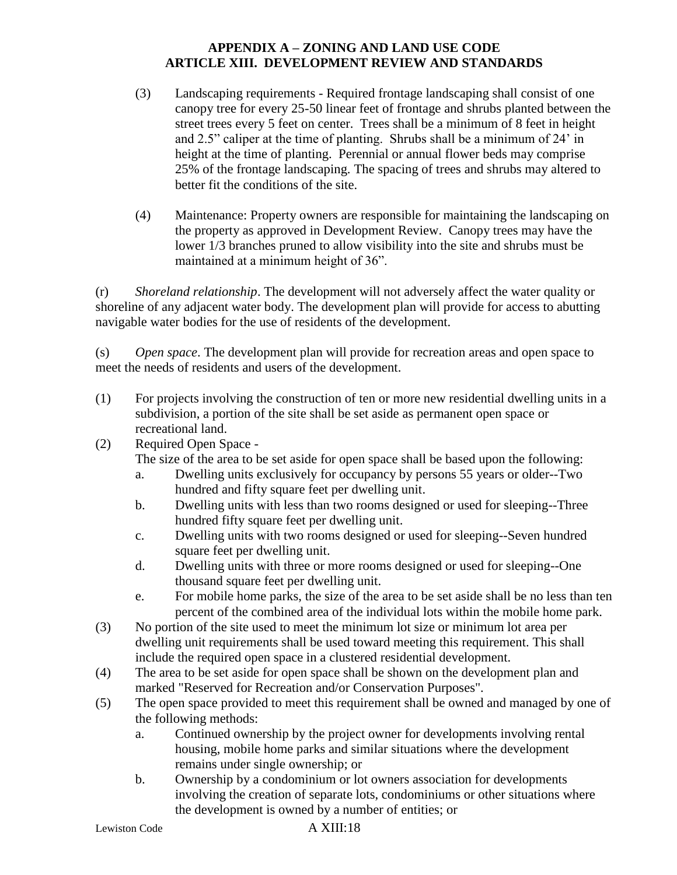- (3) Landscaping requirements Required frontage landscaping shall consist of one canopy tree for every 25-50 linear feet of frontage and shrubs planted between the street trees every 5 feet on center. Trees shall be a minimum of 8 feet in height and 2.5" caliper at the time of planting. Shrubs shall be a minimum of 24' in height at the time of planting. Perennial or annual flower beds may comprise 25% of the frontage landscaping. The spacing of trees and shrubs may altered to better fit the conditions of the site.
- (4) Maintenance: Property owners are responsible for maintaining the landscaping on the property as approved in Development Review. Canopy trees may have the lower 1/3 branches pruned to allow visibility into the site and shrubs must be maintained at a minimum height of 36".

(r) *Shoreland relationship*. The development will not adversely affect the water quality or shoreline of any adjacent water body. The development plan will provide for access to abutting navigable water bodies for the use of residents of the development.

(s) *Open space*. The development plan will provide for recreation areas and open space to meet the needs of residents and users of the development.

- (1) For projects involving the construction of ten or more new residential dwelling units in a subdivision, a portion of the site shall be set aside as permanent open space or recreational land.
- (2) Required Open Space -

The size of the area to be set aside for open space shall be based upon the following:

- a. Dwelling units exclusively for occupancy by persons 55 years or older--Two hundred and fifty square feet per dwelling unit.
- b. Dwelling units with less than two rooms designed or used for sleeping--Three hundred fifty square feet per dwelling unit.
- c. Dwelling units with two rooms designed or used for sleeping--Seven hundred square feet per dwelling unit.
- d. Dwelling units with three or more rooms designed or used for sleeping--One thousand square feet per dwelling unit.
- e. For mobile home parks, the size of the area to be set aside shall be no less than ten percent of the combined area of the individual lots within the mobile home park.
- (3) No portion of the site used to meet the minimum lot size or minimum lot area per dwelling unit requirements shall be used toward meeting this requirement. This shall include the required open space in a clustered residential development.
- (4) The area to be set aside for open space shall be shown on the development plan and marked "Reserved for Recreation and/or Conservation Purposes".
- (5) The open space provided to meet this requirement shall be owned and managed by one of the following methods:
	- a. Continued ownership by the project owner for developments involving rental housing, mobile home parks and similar situations where the development remains under single ownership; or
	- b. Ownership by a condominium or lot owners association for developments involving the creation of separate lots, condominiums or other situations where the development is owned by a number of entities; or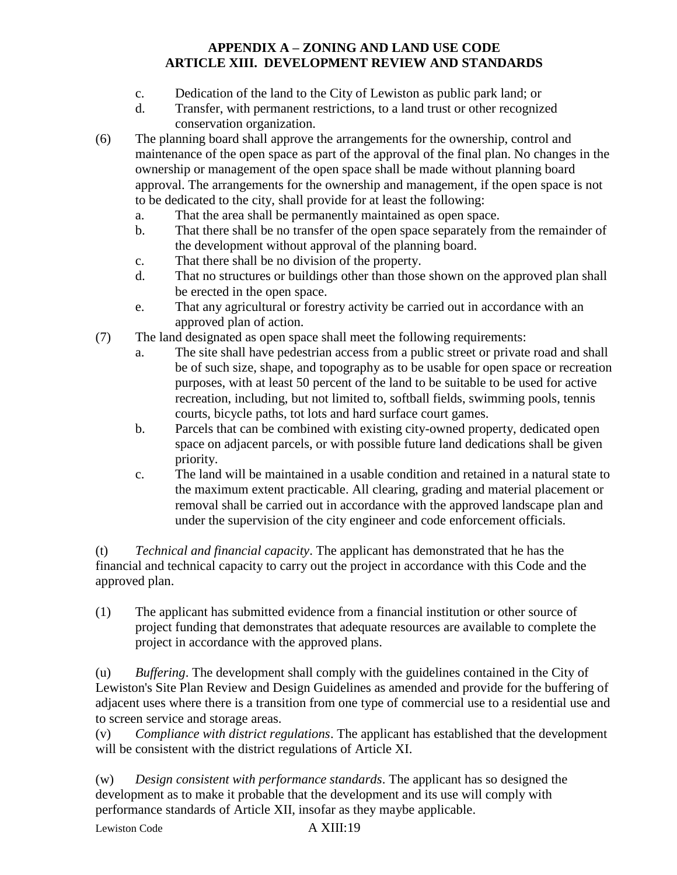- c. Dedication of the land to the City of Lewiston as public park land; or
- d. Transfer, with permanent restrictions, to a land trust or other recognized conservation organization.
- (6) The planning board shall approve the arrangements for the ownership, control and maintenance of the open space as part of the approval of the final plan. No changes in the ownership or management of the open space shall be made without planning board approval. The arrangements for the ownership and management, if the open space is not to be dedicated to the city, shall provide for at least the following:
	- a. That the area shall be permanently maintained as open space.
	- b. That there shall be no transfer of the open space separately from the remainder of the development without approval of the planning board.
	- c. That there shall be no division of the property.
	- d. That no structures or buildings other than those shown on the approved plan shall be erected in the open space.
	- e. That any agricultural or forestry activity be carried out in accordance with an approved plan of action.
- (7) The land designated as open space shall meet the following requirements:
	- a. The site shall have pedestrian access from a public street or private road and shall be of such size, shape, and topography as to be usable for open space or recreation purposes, with at least 50 percent of the land to be suitable to be used for active recreation, including, but not limited to, softball fields, swimming pools, tennis courts, bicycle paths, tot lots and hard surface court games.
	- b. Parcels that can be combined with existing city-owned property, dedicated open space on adjacent parcels, or with possible future land dedications shall be given priority.
	- c. The land will be maintained in a usable condition and retained in a natural state to the maximum extent practicable. All clearing, grading and material placement or removal shall be carried out in accordance with the approved landscape plan and under the supervision of the city engineer and code enforcement officials.

(t) *Technical and financial capacity*. The applicant has demonstrated that he has the financial and technical capacity to carry out the project in accordance with this Code and the approved plan.

(1) The applicant has submitted evidence from a financial institution or other source of project funding that demonstrates that adequate resources are available to complete the project in accordance with the approved plans.

(u) *Buffering*. The development shall comply with the guidelines contained in the City of Lewiston's Site Plan Review and Design Guidelines as amended and provide for the buffering of adjacent uses where there is a transition from one type of commercial use to a residential use and to screen service and storage areas.

(v) *Compliance with district regulations*. The applicant has established that the development will be consistent with the district regulations of Article XI.

(w) *Design consistent with performance standards*. The applicant has so designed the development as to make it probable that the development and its use will comply with performance standards of Article XII, insofar as they maybe applicable.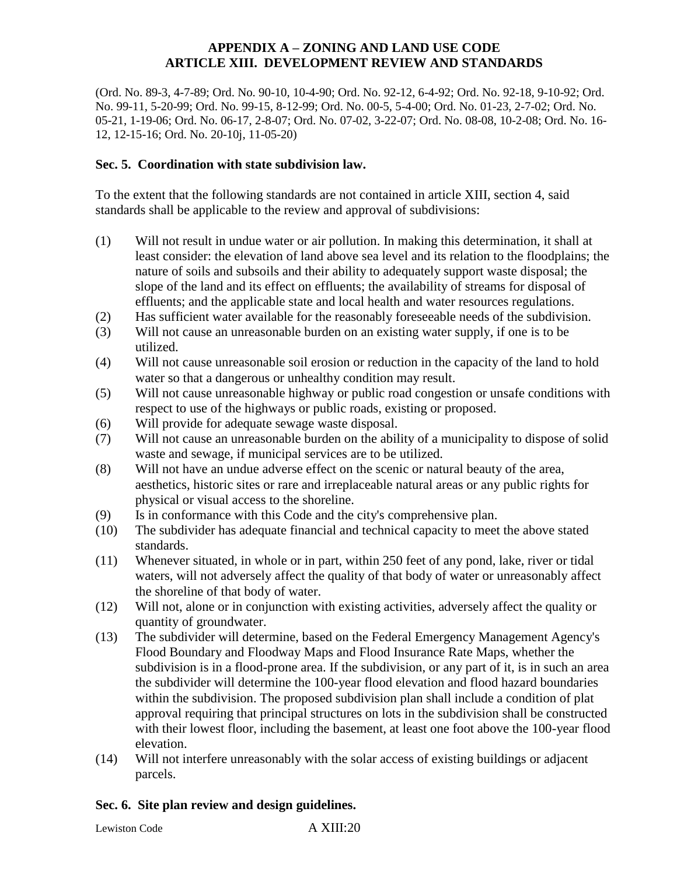(Ord. No. 89-3, 4-7-89; Ord. No. 90-10, 10-4-90; Ord. No. 92-12, 6-4-92; Ord. No. 92-18, 9-10-92; Ord. No. 99-11, 5-20-99; Ord. No. 99-15, 8-12-99; Ord. No. 00-5, 5-4-00; Ord. No. 01-23, 2-7-02; Ord. No. 05-21, 1-19-06; Ord. No. 06-17, 2-8-07; Ord. No. 07-02, 3-22-07; Ord. No. 08-08, 10-2-08; Ord. No. 16- 12, 12-15-16; Ord. No. 20-10j, 11-05-20)

#### **Sec. 5. Coordination with state subdivision law.**

To the extent that the following standards are not contained in article XIII, section 4, said standards shall be applicable to the review and approval of subdivisions:

- (1) Will not result in undue water or air pollution. In making this determination, it shall at least consider: the elevation of land above sea level and its relation to the floodplains; the nature of soils and subsoils and their ability to adequately support waste disposal; the slope of the land and its effect on effluents; the availability of streams for disposal of effluents; and the applicable state and local health and water resources regulations.
- (2) Has sufficient water available for the reasonably foreseeable needs of the subdivision.
- (3) Will not cause an unreasonable burden on an existing water supply, if one is to be utilized.
- (4) Will not cause unreasonable soil erosion or reduction in the capacity of the land to hold water so that a dangerous or unhealthy condition may result.
- (5) Will not cause unreasonable highway or public road congestion or unsafe conditions with respect to use of the highways or public roads, existing or proposed.
- (6) Will provide for adequate sewage waste disposal.
- (7) Will not cause an unreasonable burden on the ability of a municipality to dispose of solid waste and sewage, if municipal services are to be utilized.
- (8) Will not have an undue adverse effect on the scenic or natural beauty of the area, aesthetics, historic sites or rare and irreplaceable natural areas or any public rights for physical or visual access to the shoreline.
- (9) Is in conformance with this Code and the city's comprehensive plan.
- (10) The subdivider has adequate financial and technical capacity to meet the above stated standards.
- (11) Whenever situated, in whole or in part, within 250 feet of any pond, lake, river or tidal waters, will not adversely affect the quality of that body of water or unreasonably affect the shoreline of that body of water.
- (12) Will not, alone or in conjunction with existing activities, adversely affect the quality or quantity of groundwater.
- (13) The subdivider will determine, based on the Federal Emergency Management Agency's Flood Boundary and Floodway Maps and Flood Insurance Rate Maps, whether the subdivision is in a flood-prone area. If the subdivision, or any part of it, is in such an area the subdivider will determine the 100-year flood elevation and flood hazard boundaries within the subdivision. The proposed subdivision plan shall include a condition of plat approval requiring that principal structures on lots in the subdivision shall be constructed with their lowest floor, including the basement, at least one foot above the 100-year flood elevation.
- (14) Will not interfere unreasonably with the solar access of existing buildings or adjacent parcels.

#### **Sec. 6. Site plan review and design guidelines.**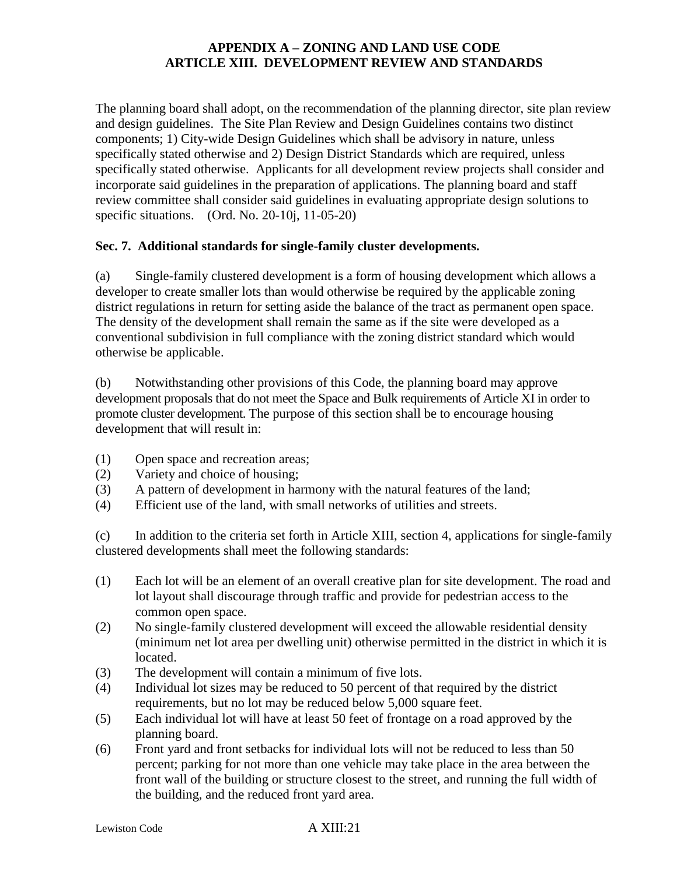The planning board shall adopt, on the recommendation of the planning director, site plan review and design guidelines. The Site Plan Review and Design Guidelines contains two distinct components; 1) City-wide Design Guidelines which shall be advisory in nature, unless specifically stated otherwise and 2) Design District Standards which are required, unless specifically stated otherwise. Applicants for all development review projects shall consider and incorporate said guidelines in the preparation of applications. The planning board and staff review committee shall consider said guidelines in evaluating appropriate design solutions to specific situations. (Ord. No. 20-10j, 11-05-20)

# **Sec. 7. Additional standards for single-family cluster developments.**

(a) Single-family clustered development is a form of housing development which allows a developer to create smaller lots than would otherwise be required by the applicable zoning district regulations in return for setting aside the balance of the tract as permanent open space. The density of the development shall remain the same as if the site were developed as a conventional subdivision in full compliance with the zoning district standard which would otherwise be applicable.

(b) Notwithstanding other provisions of this Code, the planning board may approve development proposals that do not meet the Space and Bulk requirements of Article XI in order to promote cluster development. The purpose of this section shall be to encourage housing development that will result in:

- (1) Open space and recreation areas;
- (2) Variety and choice of housing;
- (3) A pattern of development in harmony with the natural features of the land;
- (4) Efficient use of the land, with small networks of utilities and streets.

(c) In addition to the criteria set forth in Article XIII, section 4, applications for single-family clustered developments shall meet the following standards:

- (1) Each lot will be an element of an overall creative plan for site development. The road and lot layout shall discourage through traffic and provide for pedestrian access to the common open space.
- (2) No single-family clustered development will exceed the allowable residential density (minimum net lot area per dwelling unit) otherwise permitted in the district in which it is located.
- (3) The development will contain a minimum of five lots.
- (4) Individual lot sizes may be reduced to 50 percent of that required by the district requirements, but no lot may be reduced below 5,000 square feet.
- (5) Each individual lot will have at least 50 feet of frontage on a road approved by the planning board.
- (6) Front yard and front setbacks for individual lots will not be reduced to less than 50 percent; parking for not more than one vehicle may take place in the area between the front wall of the building or structure closest to the street, and running the full width of the building, and the reduced front yard area.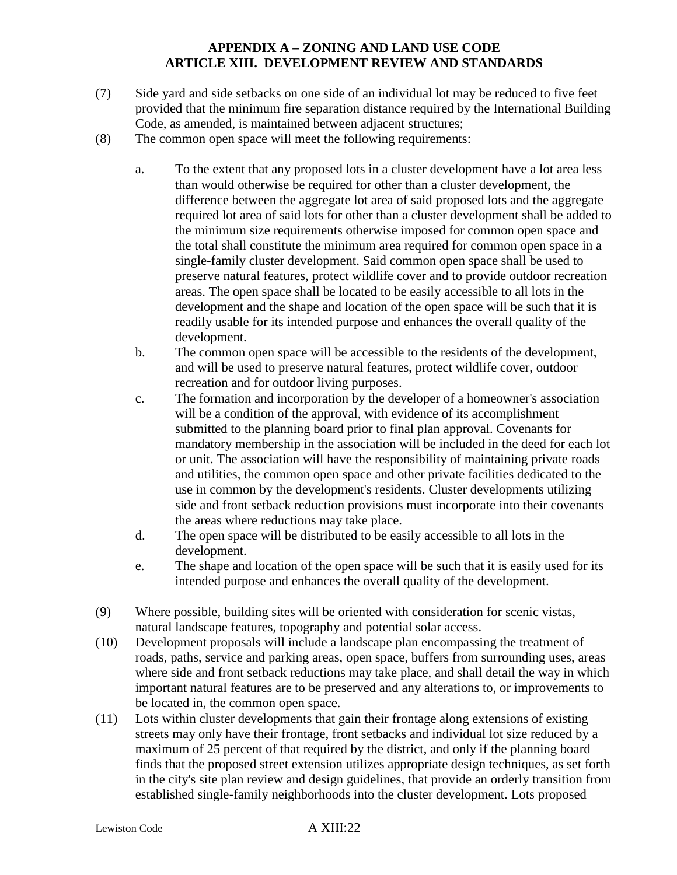- (7) Side yard and side setbacks on one side of an individual lot may be reduced to five feet provided that the minimum fire separation distance required by the International Building Code, as amended, is maintained between adjacent structures;
- (8) The common open space will meet the following requirements:
	- a. To the extent that any proposed lots in a cluster development have a lot area less than would otherwise be required for other than a cluster development, the difference between the aggregate lot area of said proposed lots and the aggregate required lot area of said lots for other than a cluster development shall be added to the minimum size requirements otherwise imposed for common open space and the total shall constitute the minimum area required for common open space in a single-family cluster development. Said common open space shall be used to preserve natural features, protect wildlife cover and to provide outdoor recreation areas. The open space shall be located to be easily accessible to all lots in the development and the shape and location of the open space will be such that it is readily usable for its intended purpose and enhances the overall quality of the development.
	- b. The common open space will be accessible to the residents of the development, and will be used to preserve natural features, protect wildlife cover, outdoor recreation and for outdoor living purposes.
	- c. The formation and incorporation by the developer of a homeowner's association will be a condition of the approval, with evidence of its accomplishment submitted to the planning board prior to final plan approval. Covenants for mandatory membership in the association will be included in the deed for each lot or unit. The association will have the responsibility of maintaining private roads and utilities, the common open space and other private facilities dedicated to the use in common by the development's residents. Cluster developments utilizing side and front setback reduction provisions must incorporate into their covenants the areas where reductions may take place.
	- d. The open space will be distributed to be easily accessible to all lots in the development.
	- e. The shape and location of the open space will be such that it is easily used for its intended purpose and enhances the overall quality of the development.
- (9) Where possible, building sites will be oriented with consideration for scenic vistas, natural landscape features, topography and potential solar access.
- (10) Development proposals will include a landscape plan encompassing the treatment of roads, paths, service and parking areas, open space, buffers from surrounding uses, areas where side and front setback reductions may take place, and shall detail the way in which important natural features are to be preserved and any alterations to, or improvements to be located in, the common open space.
- (11) Lots within cluster developments that gain their frontage along extensions of existing streets may only have their frontage, front setbacks and individual lot size reduced by a maximum of 25 percent of that required by the district, and only if the planning board finds that the proposed street extension utilizes appropriate design techniques, as set forth in the city's site plan review and design guidelines, that provide an orderly transition from established single-family neighborhoods into the cluster development. Lots proposed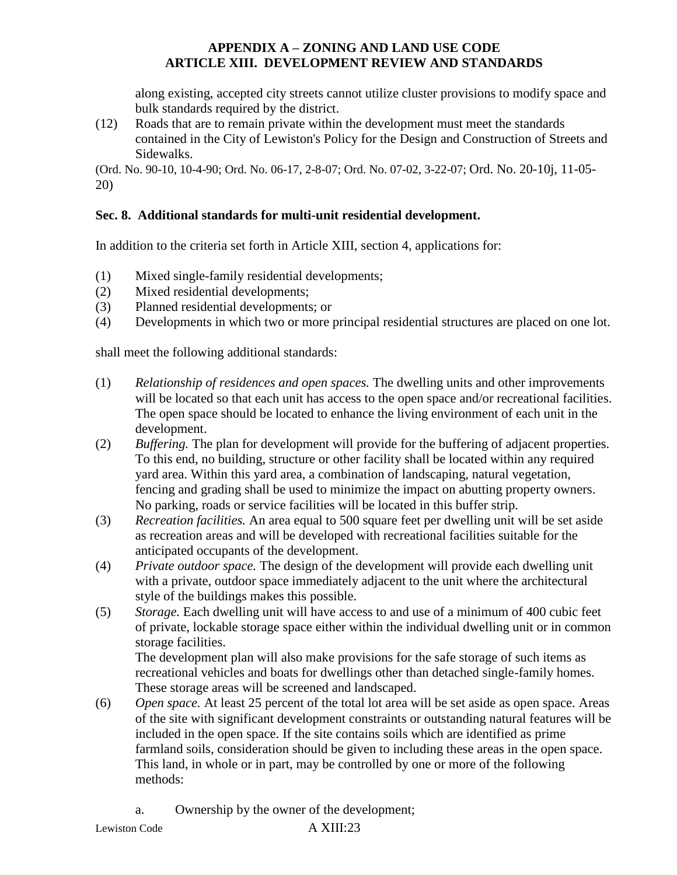along existing, accepted city streets cannot utilize cluster provisions to modify space and bulk standards required by the district.

(12) Roads that are to remain private within the development must meet the standards contained in the City of Lewiston's Policy for the Design and Construction of Streets and Sidewalks.

(Ord. No. 90-10, 10-4-90; Ord. No. 06-17, 2-8-07; Ord. No. 07-02, 3-22-07; Ord. No. 20-10j, 11-05- 20)

# **Sec. 8. Additional standards for multi-unit residential development.**

In addition to the criteria set forth in Article XIII, section 4, applications for:

- (1) Mixed single-family residential developments;
- (2) Mixed residential developments;
- (3) Planned residential developments; or
- (4) Developments in which two or more principal residential structures are placed on one lot.

shall meet the following additional standards:

- (1) *Relationship of residences and open spaces.* The dwelling units and other improvements will be located so that each unit has access to the open space and/or recreational facilities. The open space should be located to enhance the living environment of each unit in the development.
- (2) *Buffering.* The plan for development will provide for the buffering of adjacent properties. To this end, no building, structure or other facility shall be located within any required yard area. Within this yard area, a combination of landscaping, natural vegetation, fencing and grading shall be used to minimize the impact on abutting property owners. No parking, roads or service facilities will be located in this buffer strip.
- (3) *Recreation facilities.* An area equal to 500 square feet per dwelling unit will be set aside as recreation areas and will be developed with recreational facilities suitable for the anticipated occupants of the development.
- (4) *Private outdoor space.* The design of the development will provide each dwelling unit with a private, outdoor space immediately adjacent to the unit where the architectural style of the buildings makes this possible.
- (5) *Storage.* Each dwelling unit will have access to and use of a minimum of 400 cubic feet of private, lockable storage space either within the individual dwelling unit or in common storage facilities.

The development plan will also make provisions for the safe storage of such items as recreational vehicles and boats for dwellings other than detached single-family homes. These storage areas will be screened and landscaped.

- (6) *Open space.* At least 25 percent of the total lot area will be set aside as open space. Areas of the site with significant development constraints or outstanding natural features will be included in the open space. If the site contains soils which are identified as prime farmland soils, consideration should be given to including these areas in the open space. This land, in whole or in part, may be controlled by one or more of the following methods:
	- a. Ownership by the owner of the development;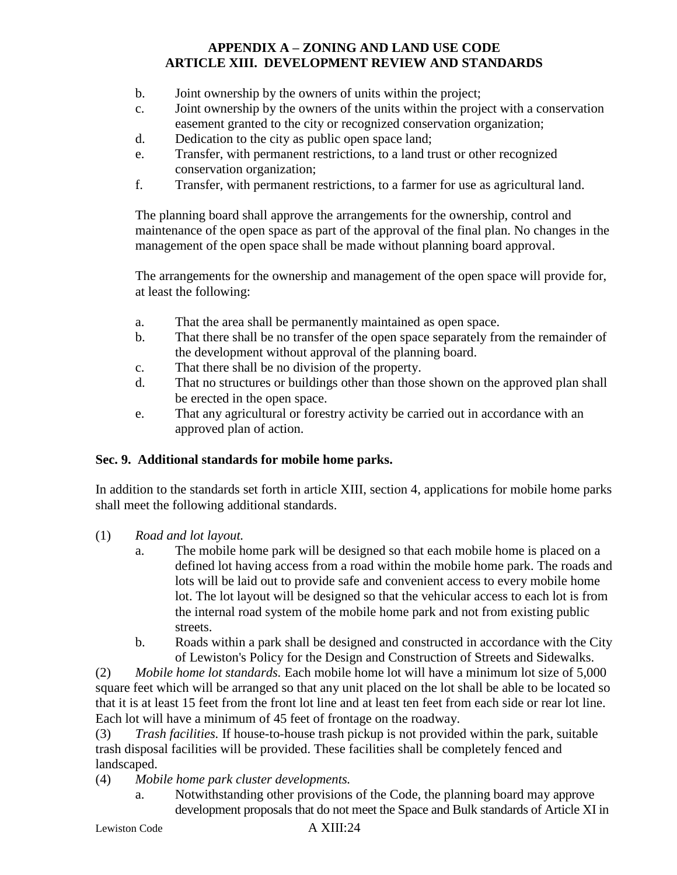- b. Joint ownership by the owners of units within the project;
- c. Joint ownership by the owners of the units within the project with a conservation easement granted to the city or recognized conservation organization;
- d. Dedication to the city as public open space land;
- e. Transfer, with permanent restrictions, to a land trust or other recognized conservation organization;
- f. Transfer, with permanent restrictions, to a farmer for use as agricultural land.

The planning board shall approve the arrangements for the ownership, control and maintenance of the open space as part of the approval of the final plan. No changes in the management of the open space shall be made without planning board approval.

The arrangements for the ownership and management of the open space will provide for, at least the following:

- a. That the area shall be permanently maintained as open space.
- b. That there shall be no transfer of the open space separately from the remainder of the development without approval of the planning board.
- c. That there shall be no division of the property.
- d. That no structures or buildings other than those shown on the approved plan shall be erected in the open space.
- e. That any agricultural or forestry activity be carried out in accordance with an approved plan of action.

# **Sec. 9. Additional standards for mobile home parks.**

In addition to the standards set forth in article XIII, section 4, applications for mobile home parks shall meet the following additional standards.

- (1) *Road and lot layout.*
	- a. The mobile home park will be designed so that each mobile home is placed on a defined lot having access from a road within the mobile home park. The roads and lots will be laid out to provide safe and convenient access to every mobile home lot. The lot layout will be designed so that the vehicular access to each lot is from the internal road system of the mobile home park and not from existing public streets.
	- b. Roads within a park shall be designed and constructed in accordance with the City of Lewiston's Policy for the Design and Construction of Streets and Sidewalks.

(2) *Mobile home lot standards.* Each mobile home lot will have a minimum lot size of 5,000 square feet which will be arranged so that any unit placed on the lot shall be able to be located so that it is at least 15 feet from the front lot line and at least ten feet from each side or rear lot line. Each lot will have a minimum of 45 feet of frontage on the roadway.

(3) *Trash facilities.* If house-to-house trash pickup is not provided within the park, suitable trash disposal facilities will be provided. These facilities shall be completely fenced and landscaped.

- (4) *Mobile home park cluster developments.*
	- a. Notwithstanding other provisions of the Code, the planning board may approve development proposals that do not meet the Space and Bulk standards of Article XI in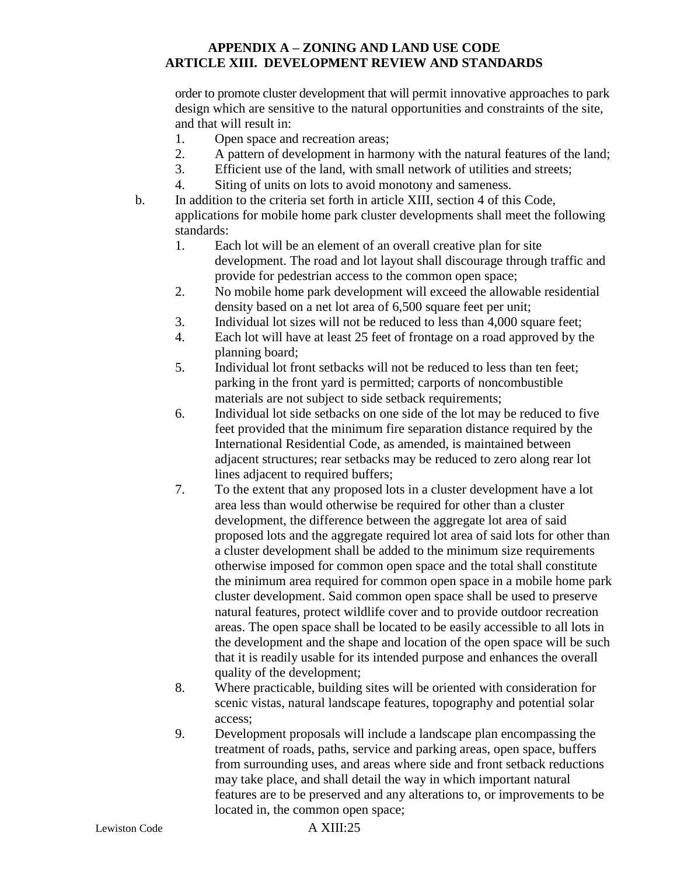order to promote cluster development that will permit innovative approaches to park design which are sensitive to the natural opportunities and constraints of the site, and that will result in:

- 1. Open space and recreation areas;
- 2. A pattern of development in harmony with the natural features of the land;
- 3. Efficient use of the land, with small network of utilities and streets;
- 4. Siting of units on lots to avoid monotony and sameness.
- b. In addition to the criteria set forth in article XIII, section 4 of this Code, applications for mobile home park cluster developments shall meet the following standards:
	- 1. Each lot will be an element of an overall creative plan for site development. The road and lot layout shall discourage through traffic and provide for pedestrian access to the common open space;
	- 2. No mobile home park development will exceed the allowable residential density based on a net lot area of 6,500 square feet per unit;
	- 3. Individual lot sizes will not be reduced to less than 4,000 square feet;
	- 4. Each lot will have at least 25 feet of frontage on a road approved by the planning board;
	- 5. Individual lot front setbacks will not be reduced to less than ten feet; parking in the front yard is permitted; carports of noncombustible materials are not subject to side setback requirements;
	- 6. Individual lot side setbacks on one side of the lot may be reduced to five feet provided that the minimum fire separation distance required by the International Residential Code, as amended, is maintained between adjacent structures; rear setbacks may be reduced to zero along rear lot lines adjacent to required buffers;
	- 7. To the extent that any proposed lots in a cluster development have a lot area less than would otherwise be required for other than a cluster development, the difference between the aggregate lot area of said proposed lots and the aggregate required lot area of said lots for other than a cluster development shall be added to the minimum size requirements otherwise imposed for common open space and the total shall constitute the minimum area required for common open space in a mobile home park cluster development. Said common open space shall be used to preserve natural features, protect wildlife cover and to provide outdoor recreation areas. The open space shall be located to be easily accessible to all lots in the development and the shape and location of the open space will be such that it is readily usable for its intended purpose and enhances the overall quality of the development;
	- 8. Where practicable, building sites will be oriented with consideration for scenic vistas, natural landscape features, topography and potential solar access;
	- 9. Development proposals will include a landscape plan encompassing the treatment of roads, paths, service and parking areas, open space, buffers from surrounding uses, and areas where side and front setback reductions may take place, and shall detail the way in which important natural features are to be preserved and any alterations to, or improvements to be located in, the common open space;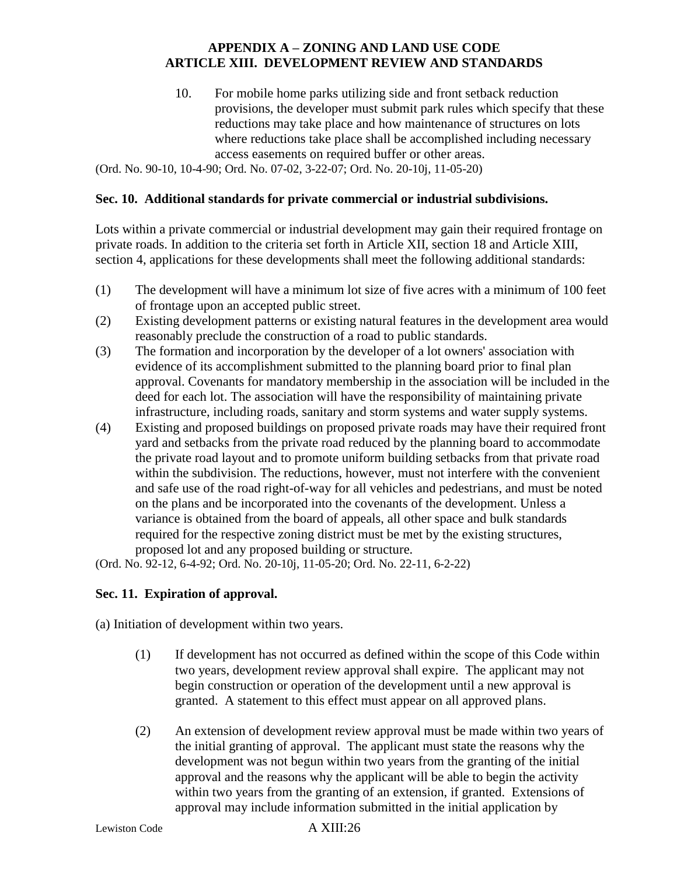10. For mobile home parks utilizing side and front setback reduction provisions, the developer must submit park rules which specify that these reductions may take place and how maintenance of structures on lots where reductions take place shall be accomplished including necessary access easements on required buffer or other areas.

(Ord. No. 90-10, 10-4-90; Ord. No. 07-02, 3-22-07; Ord. No. 20-10j, 11-05-20)

#### **Sec. 10. Additional standards for private commercial or industrial subdivisions.**

Lots within a private commercial or industrial development may gain their required frontage on private roads. In addition to the criteria set forth in Article XII, section 18 and Article XIII, section 4, applications for these developments shall meet the following additional standards:

- (1) The development will have a minimum lot size of five acres with a minimum of 100 feet of frontage upon an accepted public street.
- (2) Existing development patterns or existing natural features in the development area would reasonably preclude the construction of a road to public standards.
- (3) The formation and incorporation by the developer of a lot owners' association with evidence of its accomplishment submitted to the planning board prior to final plan approval. Covenants for mandatory membership in the association will be included in the deed for each lot. The association will have the responsibility of maintaining private infrastructure, including roads, sanitary and storm systems and water supply systems.
- (4) Existing and proposed buildings on proposed private roads may have their required front yard and setbacks from the private road reduced by the planning board to accommodate the private road layout and to promote uniform building setbacks from that private road within the subdivision. The reductions, however, must not interfere with the convenient and safe use of the road right-of-way for all vehicles and pedestrians, and must be noted on the plans and be incorporated into the covenants of the development. Unless a variance is obtained from the board of appeals, all other space and bulk standards required for the respective zoning district must be met by the existing structures, proposed lot and any proposed building or structure.

(Ord. No. 92-12, 6-4-92; Ord. No. 20-10j, 11-05-20; Ord. No. 22-11, 6-2-22)

#### **Sec. 11. Expiration of approval.**

(a) Initiation of development within two years.

- (1) If development has not occurred as defined within the scope of this Code within two years, development review approval shall expire. The applicant may not begin construction or operation of the development until a new approval is granted. A statement to this effect must appear on all approved plans.
- (2) An extension of development review approval must be made within two years of the initial granting of approval. The applicant must state the reasons why the development was not begun within two years from the granting of the initial approval and the reasons why the applicant will be able to begin the activity within two years from the granting of an extension, if granted. Extensions of approval may include information submitted in the initial application by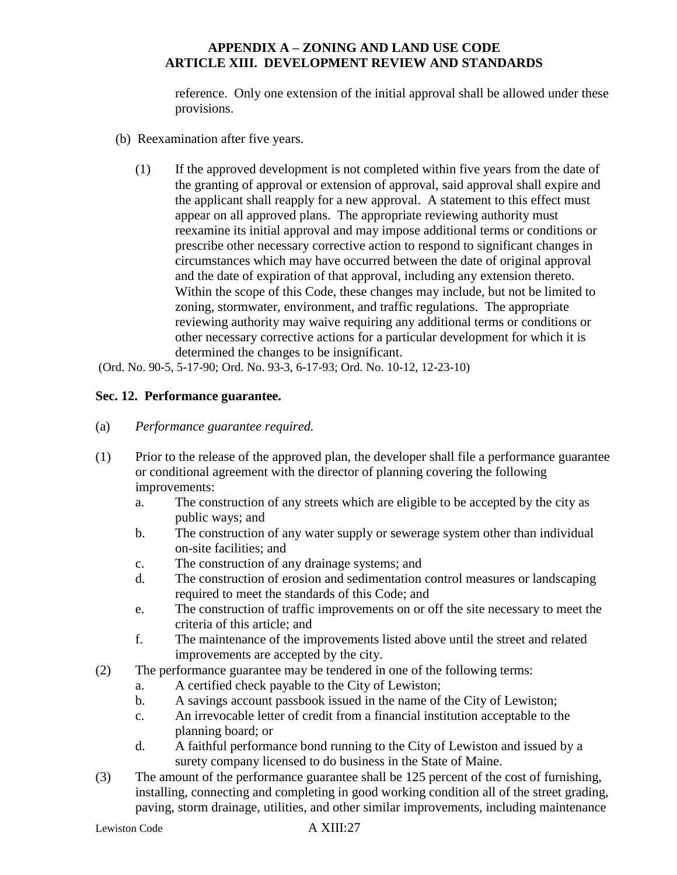reference. Only one extension of the initial approval shall be allowed under these provisions.

- (b) Reexamination after five years.
	- (1) If the approved development is not completed within five years from the date of the granting of approval or extension of approval, said approval shall expire and the applicant shall reapply for a new approval. A statement to this effect must appear on all approved plans. The appropriate reviewing authority must reexamine its initial approval and may impose additional terms or conditions or prescribe other necessary corrective action to respond to significant changes in circumstances which may have occurred between the date of original approval and the date of expiration of that approval, including any extension thereto. Within the scope of this Code, these changes may include, but not be limited to zoning, stormwater, environment, and traffic regulations. The appropriate reviewing authority may waive requiring any additional terms or conditions or other necessary corrective actions for a particular development for which it is determined the changes to be insignificant.

(Ord. No. 90-5, 5-17-90; Ord. No. 93-3, 6-17-93; Ord. No. 10-12, 12-23-10)

# **Sec. 12. Performance guarantee.**

- (a) *Performance guarantee required.*
- (1) Prior to the release of the approved plan, the developer shall file a performance guarantee or conditional agreement with the director of planning covering the following improvements:
	- a. The construction of any streets which are eligible to be accepted by the city as public ways; and
	- b. The construction of any water supply or sewerage system other than individual on-site facilities; and
	- c. The construction of any drainage systems; and
	- d. The construction of erosion and sedimentation control measures or landscaping required to meet the standards of this Code; and
	- e. The construction of traffic improvements on or off the site necessary to meet the criteria of this article; and
	- f. The maintenance of the improvements listed above until the street and related improvements are accepted by the city.
- (2) The performance guarantee may be tendered in one of the following terms:
	- a. A certified check payable to the City of Lewiston;
	- b. A savings account passbook issued in the name of the City of Lewiston;
	- c. An irrevocable letter of credit from a financial institution acceptable to the planning board; or
	- d. A faithful performance bond running to the City of Lewiston and issued by a surety company licensed to do business in the State of Maine.
- (3) The amount of the performance guarantee shall be 125 percent of the cost of furnishing, installing, connecting and completing in good working condition all of the street grading, paving, storm drainage, utilities, and other similar improvements, including maintenance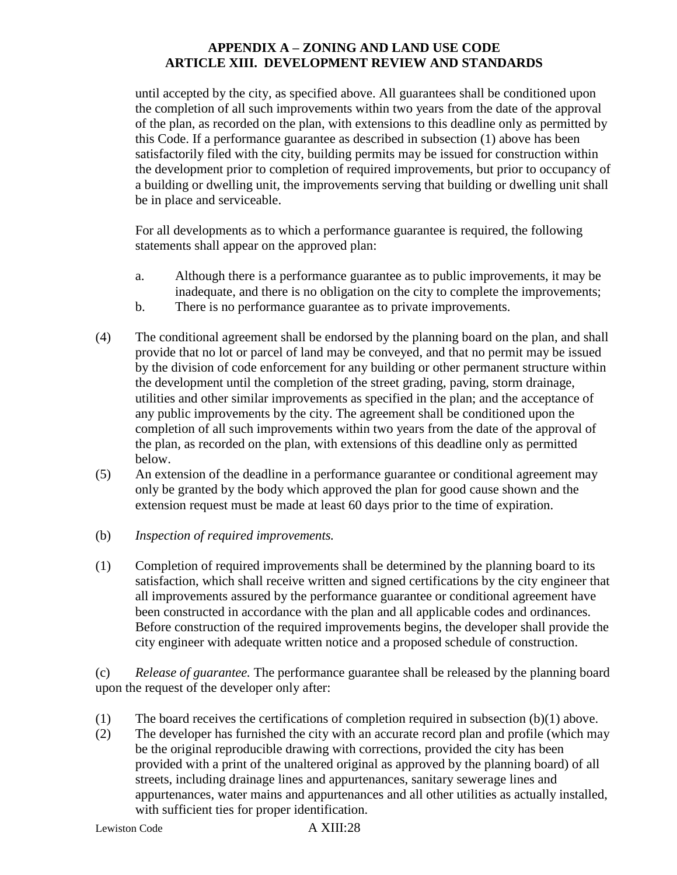until accepted by the city, as specified above. All guarantees shall be conditioned upon the completion of all such improvements within two years from the date of the approval of the plan, as recorded on the plan, with extensions to this deadline only as permitted by this Code. If a performance guarantee as described in subsection (1) above has been satisfactorily filed with the city, building permits may be issued for construction within the development prior to completion of required improvements, but prior to occupancy of a building or dwelling unit, the improvements serving that building or dwelling unit shall be in place and serviceable.

For all developments as to which a performance guarantee is required, the following statements shall appear on the approved plan:

- a. Although there is a performance guarantee as to public improvements, it may be inadequate, and there is no obligation on the city to complete the improvements;
- b. There is no performance guarantee as to private improvements.
- (4) The conditional agreement shall be endorsed by the planning board on the plan, and shall provide that no lot or parcel of land may be conveyed, and that no permit may be issued by the division of code enforcement for any building or other permanent structure within the development until the completion of the street grading, paving, storm drainage, utilities and other similar improvements as specified in the plan; and the acceptance of any public improvements by the city. The agreement shall be conditioned upon the completion of all such improvements within two years from the date of the approval of the plan, as recorded on the plan, with extensions of this deadline only as permitted below.
- (5) An extension of the deadline in a performance guarantee or conditional agreement may only be granted by the body which approved the plan for good cause shown and the extension request must be made at least 60 days prior to the time of expiration.
- (b) *Inspection of required improvements.*
- (1) Completion of required improvements shall be determined by the planning board to its satisfaction, which shall receive written and signed certifications by the city engineer that all improvements assured by the performance guarantee or conditional agreement have been constructed in accordance with the plan and all applicable codes and ordinances. Before construction of the required improvements begins, the developer shall provide the city engineer with adequate written notice and a proposed schedule of construction.

(c) *Release of guarantee.* The performance guarantee shall be released by the planning board upon the request of the developer only after:

- (1) The board receives the certifications of completion required in subsection (b)(1) above.
- (2) The developer has furnished the city with an accurate record plan and profile (which may be the original reproducible drawing with corrections, provided the city has been provided with a print of the unaltered original as approved by the planning board) of all streets, including drainage lines and appurtenances, sanitary sewerage lines and appurtenances, water mains and appurtenances and all other utilities as actually installed, with sufficient ties for proper identification.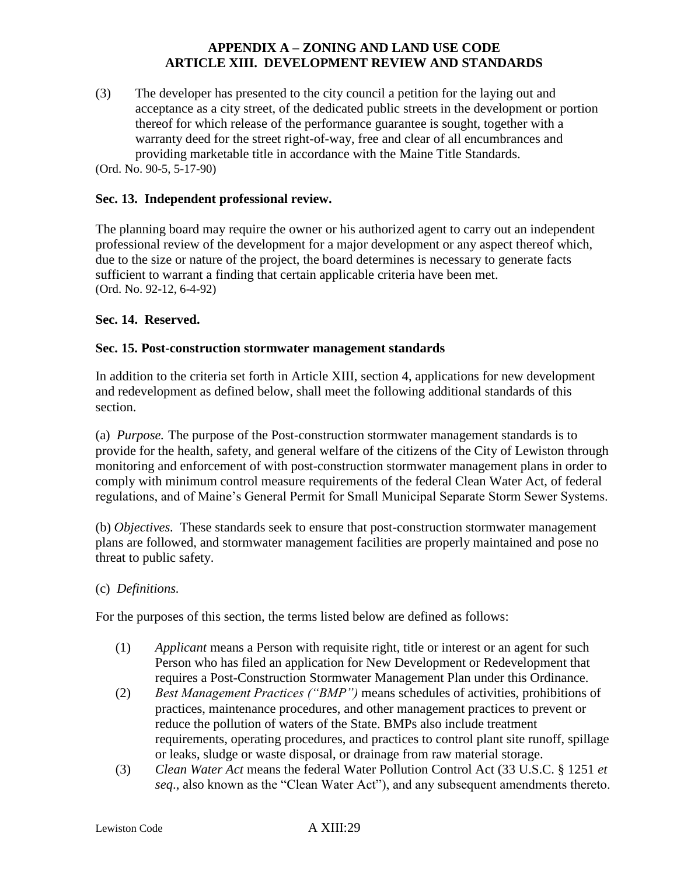(3) The developer has presented to the city council a petition for the laying out and acceptance as a city street, of the dedicated public streets in the development or portion thereof for which release of the performance guarantee is sought, together with a warranty deed for the street right-of-way, free and clear of all encumbrances and providing marketable title in accordance with the Maine Title Standards.

(Ord. No. 90-5, 5-17-90)

#### **Sec. 13. Independent professional review.**

The planning board may require the owner or his authorized agent to carry out an independent professional review of the development for a major development or any aspect thereof which, due to the size or nature of the project, the board determines is necessary to generate facts sufficient to warrant a finding that certain applicable criteria have been met. (Ord. No. 92-12, 6-4-92)

#### **Sec. 14. Reserved.**

### **Sec. 15. Post-construction stormwater management standards**

In addition to the criteria set forth in Article XIII, section 4, applications for new development and redevelopment as defined below, shall meet the following additional standards of this section.

(a) *Purpose.* The purpose of the Post-construction stormwater management standards is to provide for the health, safety, and general welfare of the citizens of the City of Lewiston through monitoring and enforcement of with post-construction stormwater management plans in order to comply with minimum control measure requirements of the federal Clean Water Act, of federal regulations, and of Maine's General Permit for Small Municipal Separate Storm Sewer Systems.

(b) *Objectives.* These standards seek to ensure that post-construction stormwater management plans are followed, and stormwater management facilities are properly maintained and pose no threat to public safety.

#### (c) *Definitions.*

For the purposes of this section, the terms listed below are defined as follows:

- (1) *Applicant* means a Person with requisite right, title or interest or an agent for such Person who has filed an application for New Development or Redevelopment that requires a Post-Construction Stormwater Management Plan under this Ordinance.
- (2) *Best Management Practices ("BMP")* means schedules of activities, prohibitions of practices, maintenance procedures, and other management practices to prevent or reduce the pollution of waters of the State. BMPs also include treatment requirements, operating procedures, and practices to control plant site runoff, spillage or leaks, sludge or waste disposal, or drainage from raw material storage.
- (3) *Clean Water Act* means the federal Water Pollution Control Act (33 U.S.C. § 1251 *et seq*., also known as the "Clean Water Act"), and any subsequent amendments thereto.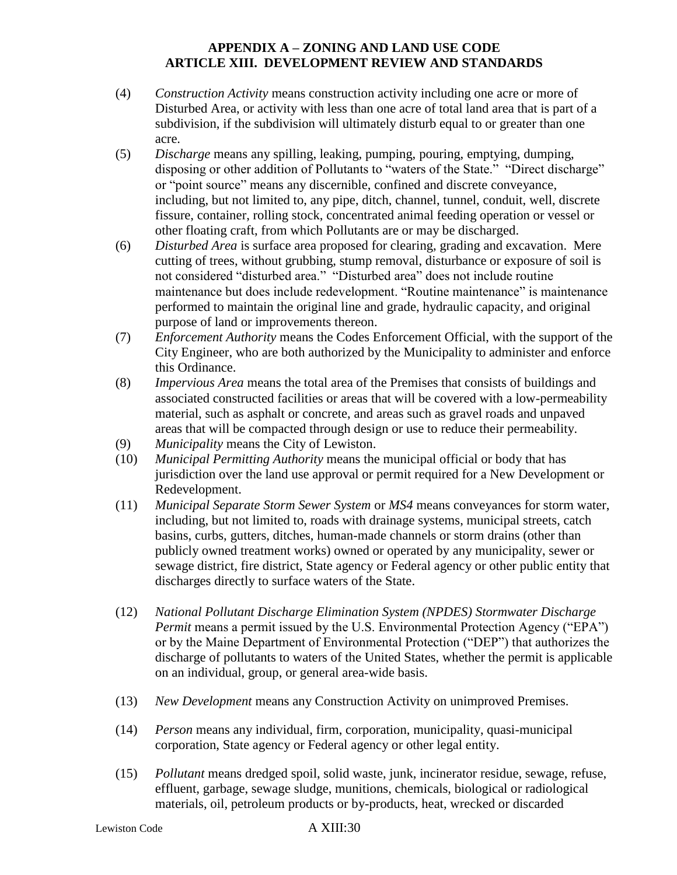- (4) *Construction Activity* means construction activity including one acre or more of Disturbed Area, or activity with less than one acre of total land area that is part of a subdivision, if the subdivision will ultimately disturb equal to or greater than one acre.
- (5) *Discharge* means any spilling, leaking, pumping, pouring, emptying, dumping, disposing or other addition of Pollutants to "waters of the State." "Direct discharge" or "point source" means any discernible, confined and discrete conveyance, including, but not limited to, any pipe, ditch, channel, tunnel, conduit, well, discrete fissure, container, rolling stock, concentrated animal feeding operation or vessel or other floating craft, from which Pollutants are or may be discharged.
- (6) *Disturbed Area* is surface area proposed for clearing, grading and excavation. Mere cutting of trees, without grubbing, stump removal, disturbance or exposure of soil is not considered "disturbed area." "Disturbed area" does not include routine maintenance but does include redevelopment. "Routine maintenance" is maintenance performed to maintain the original line and grade, hydraulic capacity, and original purpose of land or improvements thereon.
- (7) *Enforcement Authority* means the Codes Enforcement Official, with the support of the City Engineer, who are both authorized by the Municipality to administer and enforce this Ordinance.
- (8) *Impervious Area* means the total area of the Premises that consists of buildings and associated constructed facilities or areas that will be covered with a low-permeability material, such as asphalt or concrete, and areas such as gravel roads and unpaved areas that will be compacted through design or use to reduce their permeability.
- (9) *Municipality* means the City of Lewiston.
- (10) *Municipal Permitting Authority* means the municipal official or body that has jurisdiction over the land use approval or permit required for a New Development or Redevelopment.
- (11) *Municipal Separate Storm Sewer System* or *MS4* means conveyances for storm water, including, but not limited to, roads with drainage systems, municipal streets, catch basins, curbs, gutters, ditches, human-made channels or storm drains (other than publicly owned treatment works) owned or operated by any municipality, sewer or sewage district, fire district, State agency or Federal agency or other public entity that discharges directly to surface waters of the State.
- (12) *National Pollutant Discharge Elimination System (NPDES) Stormwater Discharge Permit* means a permit issued by the U.S. Environmental Protection Agency ("EPA") or by the Maine Department of Environmental Protection ("DEP") that authorizes the discharge of pollutants to waters of the United States, whether the permit is applicable on an individual, group, or general area-wide basis.
- (13) *New Development* means any Construction Activity on unimproved Premises.
- (14) *Person* means any individual, firm, corporation, municipality, quasi-municipal corporation, State agency or Federal agency or other legal entity.
- (15) *Pollutant* means dredged spoil, solid waste, junk, incinerator residue, sewage, refuse, effluent, garbage, sewage sludge, munitions, chemicals, biological or radiological materials, oil, petroleum products or by-products, heat, wrecked or discarded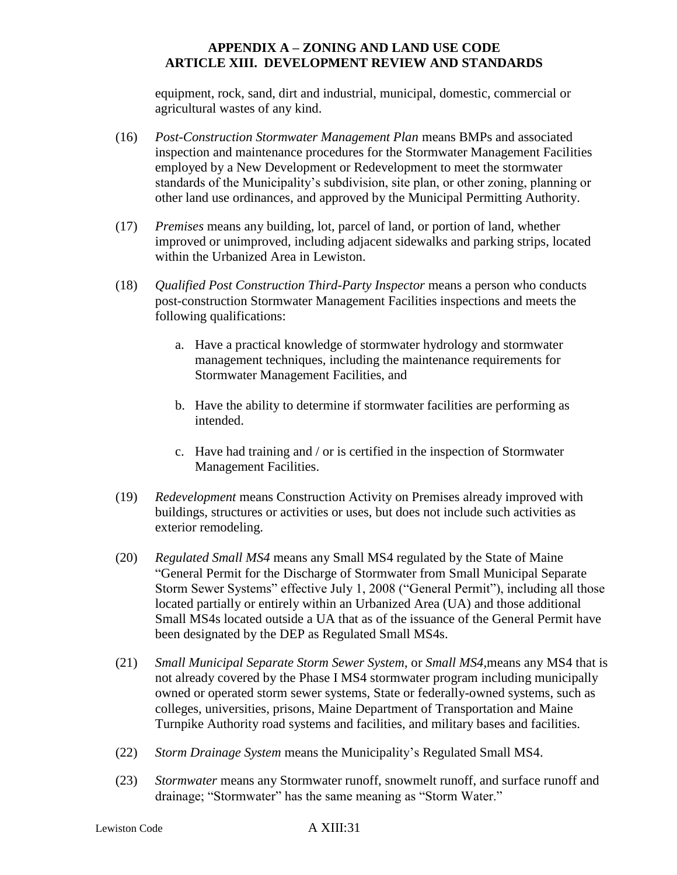equipment, rock, sand, dirt and industrial, municipal, domestic, commercial or agricultural wastes of any kind.

- (16) *Post-Construction Stormwater Management Plan* means BMPs and associated inspection and maintenance procedures for the Stormwater Management Facilities employed by a New Development or Redevelopment to meet the stormwater standards of the Municipality's subdivision, site plan, or other zoning, planning or other land use ordinances, and approved by the Municipal Permitting Authority.
- (17) *Premises* means any building, lot, parcel of land, or portion of land, whether improved or unimproved, including adjacent sidewalks and parking strips, located within the Urbanized Area in Lewiston.
- (18) *Qualified Post Construction Third-Party Inspector* means a person who conducts post-construction Stormwater Management Facilities inspections and meets the following qualifications:
	- a. Have a practical knowledge of stormwater hydrology and stormwater management techniques, including the maintenance requirements for Stormwater Management Facilities, and
	- b. Have the ability to determine if stormwater facilities are performing as intended.
	- c. Have had training and / or is certified in the inspection of Stormwater Management Facilities.
- (19) *Redevelopment* means Construction Activity on Premises already improved with buildings, structures or activities or uses, but does not include such activities as exterior remodeling.
- (20) *Regulated Small MS4* means any Small MS4 regulated by the State of Maine "General Permit for the Discharge of Stormwater from Small Municipal Separate Storm Sewer Systems" effective July 1, 2008 ("General Permit"), including all those located partially or entirely within an Urbanized Area (UA) and those additional Small MS4s located outside a UA that as of the issuance of the General Permit have been designated by the DEP as Regulated Small MS4s.
- (21) *Small Municipal Separate Storm Sewer System*, or *Small MS4*,means any MS4 that is not already covered by the Phase I MS4 stormwater program including municipally owned or operated storm sewer systems, State or federally-owned systems, such as colleges, universities, prisons, Maine Department of Transportation and Maine Turnpike Authority road systems and facilities, and military bases and facilities.
- (22) *Storm Drainage System* means the Municipality's Regulated Small MS4.
- (23) *Stormwater* means any Stormwater runoff, snowmelt runoff, and surface runoff and drainage; "Stormwater" has the same meaning as "Storm Water."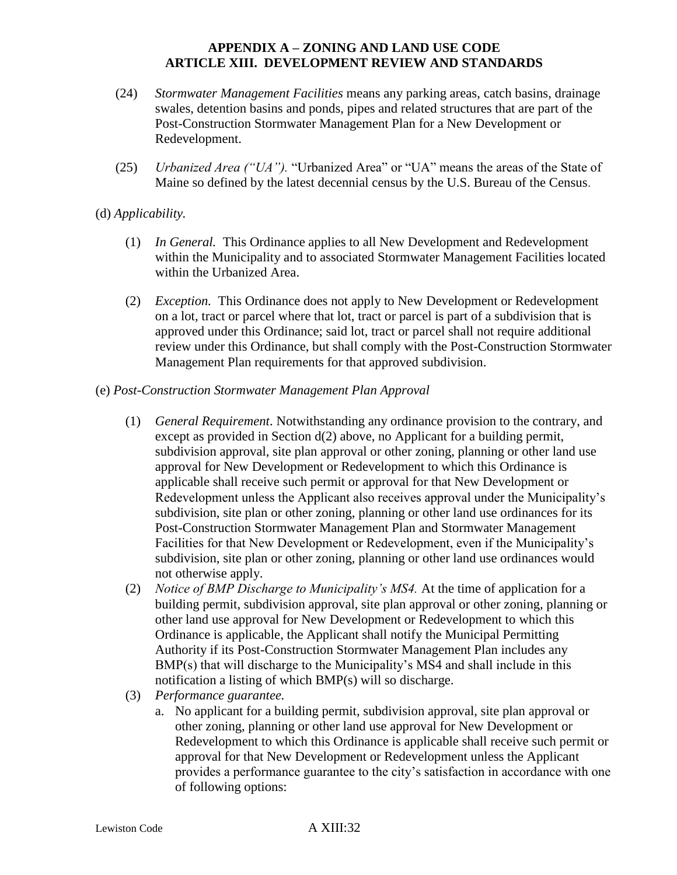- (24) *Stormwater Management Facilities* means any parking areas, catch basins, drainage swales, detention basins and ponds, pipes and related structures that are part of the Post-Construction Stormwater Management Plan for a New Development or Redevelopment.
- (25) *Urbanized Area ("UA").* "Urbanized Area" or "UA" means the areas of the State of Maine so defined by the latest decennial census by the U.S. Bureau of the Census.

# (d) *Applicability.*

- (1) *In General.* This Ordinance applies to all New Development and Redevelopment within the Municipality and to associated Stormwater Management Facilities located within the Urbanized Area.
- (2) *Exception.* This Ordinance does not apply to New Development or Redevelopment on a lot, tract or parcel where that lot, tract or parcel is part of a subdivision that is approved under this Ordinance; said lot, tract or parcel shall not require additional review under this Ordinance, but shall comply with the Post-Construction Stormwater Management Plan requirements for that approved subdivision.
- (e) *Post-Construction Stormwater Management Plan Approval* 
	- (1) *General Requirement*. Notwithstanding any ordinance provision to the contrary, and except as provided in Section d(2) above, no Applicant for a building permit, subdivision approval, site plan approval or other zoning, planning or other land use approval for New Development or Redevelopment to which this Ordinance is applicable shall receive such permit or approval for that New Development or Redevelopment unless the Applicant also receives approval under the Municipality's subdivision, site plan or other zoning, planning or other land use ordinances for its Post-Construction Stormwater Management Plan and Stormwater Management Facilities for that New Development or Redevelopment, even if the Municipality's subdivision, site plan or other zoning, planning or other land use ordinances would not otherwise apply.
	- (2) *Notice of BMP Discharge to Municipality's MS4.* At the time of application for a building permit, subdivision approval, site plan approval or other zoning, planning or other land use approval for New Development or Redevelopment to which this Ordinance is applicable, the Applicant shall notify the Municipal Permitting Authority if its Post-Construction Stormwater Management Plan includes any BMP(s) that will discharge to the Municipality's MS4 and shall include in this notification a listing of which BMP(s) will so discharge.
	- (3) *Performance guarantee.*
		- a. No applicant for a building permit, subdivision approval, site plan approval or other zoning, planning or other land use approval for New Development or Redevelopment to which this Ordinance is applicable shall receive such permit or approval for that New Development or Redevelopment unless the Applicant provides a performance guarantee to the city's satisfaction in accordance with one of following options: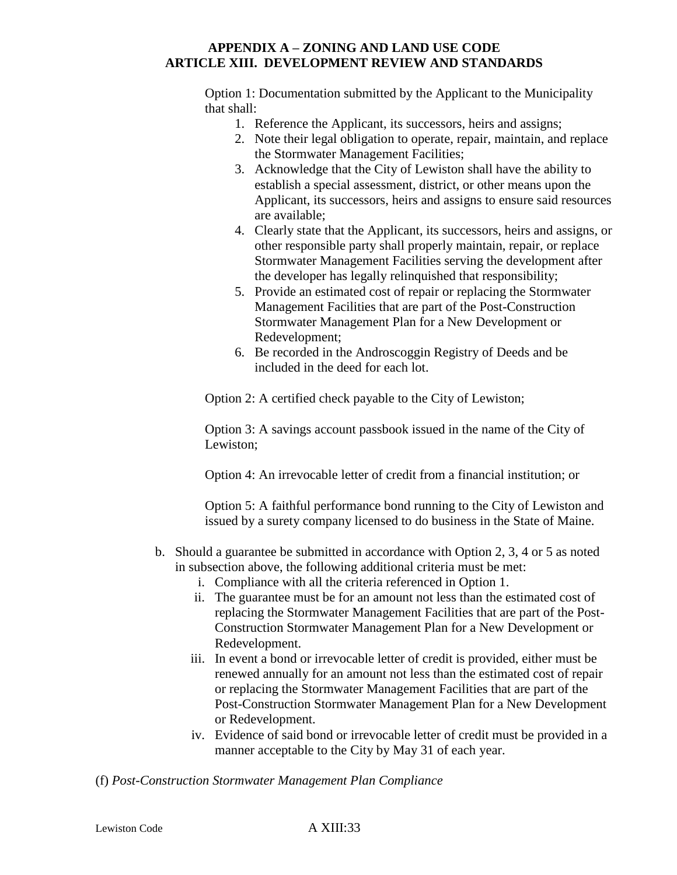Option 1: Documentation submitted by the Applicant to the Municipality that shall:

- 1. Reference the Applicant, its successors, heirs and assigns;
- 2. Note their legal obligation to operate, repair, maintain, and replace the Stormwater Management Facilities;
- 3. Acknowledge that the City of Lewiston shall have the ability to establish a special assessment, district, or other means upon the Applicant, its successors, heirs and assigns to ensure said resources are available;
- 4. Clearly state that the Applicant, its successors, heirs and assigns, or other responsible party shall properly maintain, repair, or replace Stormwater Management Facilities serving the development after the developer has legally relinquished that responsibility;
- 5. Provide an estimated cost of repair or replacing the Stormwater Management Facilities that are part of the Post-Construction Stormwater Management Plan for a New Development or Redevelopment;
- 6. Be recorded in the Androscoggin Registry of Deeds and be included in the deed for each lot.

Option 2: A certified check payable to the City of Lewiston;

Option 3: A savings account passbook issued in the name of the City of Lewiston;

Option 4: An irrevocable letter of credit from a financial institution; or

Option 5: A faithful performance bond running to the City of Lewiston and issued by a surety company licensed to do business in the State of Maine.

- b. Should a guarantee be submitted in accordance with Option 2, 3, 4 or 5 as noted in subsection above, the following additional criteria must be met:
	- i. Compliance with all the criteria referenced in Option 1.
	- ii. The guarantee must be for an amount not less than the estimated cost of replacing the Stormwater Management Facilities that are part of the Post-Construction Stormwater Management Plan for a New Development or Redevelopment.
	- iii. In event a bond or irrevocable letter of credit is provided, either must be renewed annually for an amount not less than the estimated cost of repair or replacing the Stormwater Management Facilities that are part of the Post-Construction Stormwater Management Plan for a New Development or Redevelopment.
	- iv. Evidence of said bond or irrevocable letter of credit must be provided in a manner acceptable to the City by May 31 of each year.

(f) *Post-Construction Stormwater Management Plan Compliance*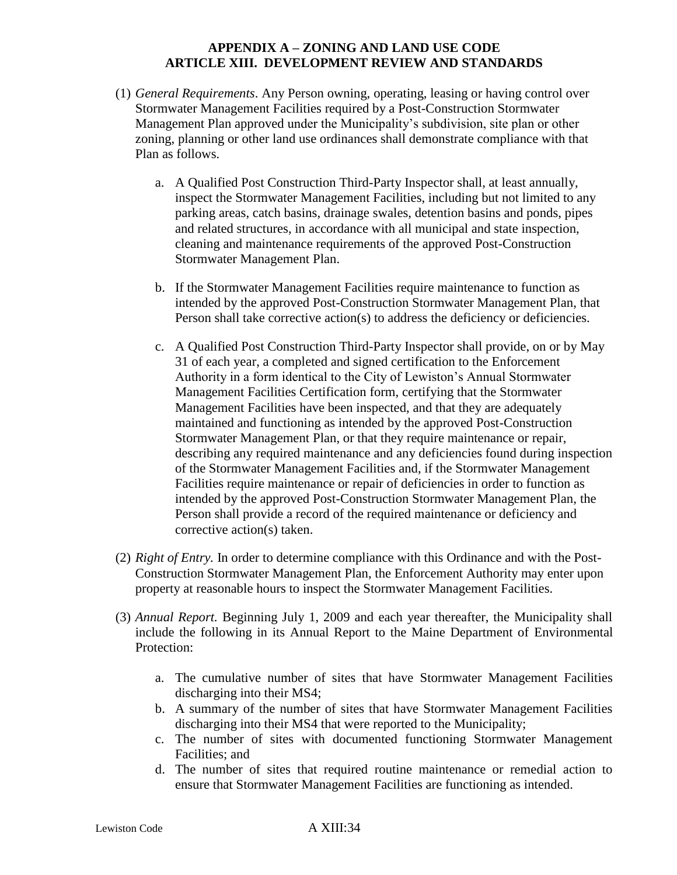- (1) *General Requirements*. Any Person owning, operating, leasing or having control over Stormwater Management Facilities required by a Post-Construction Stormwater Management Plan approved under the Municipality's subdivision, site plan or other zoning, planning or other land use ordinances shall demonstrate compliance with that Plan as follows.
	- a. A Qualified Post Construction Third-Party Inspector shall, at least annually, inspect the Stormwater Management Facilities, including but not limited to any parking areas, catch basins, drainage swales, detention basins and ponds, pipes and related structures, in accordance with all municipal and state inspection, cleaning and maintenance requirements of the approved Post-Construction Stormwater Management Plan.
	- b. If the Stormwater Management Facilities require maintenance to function as intended by the approved Post-Construction Stormwater Management Plan, that Person shall take corrective action(s) to address the deficiency or deficiencies.
	- c. A Qualified Post Construction Third-Party Inspector shall provide, on or by May 31 of each year, a completed and signed certification to the Enforcement Authority in a form identical to the City of Lewiston's Annual Stormwater Management Facilities Certification form, certifying that the Stormwater Management Facilities have been inspected, and that they are adequately maintained and functioning as intended by the approved Post-Construction Stormwater Management Plan, or that they require maintenance or repair, describing any required maintenance and any deficiencies found during inspection of the Stormwater Management Facilities and, if the Stormwater Management Facilities require maintenance or repair of deficiencies in order to function as intended by the approved Post-Construction Stormwater Management Plan, the Person shall provide a record of the required maintenance or deficiency and corrective action(s) taken.
- (2) *Right of Entry.* In order to determine compliance with this Ordinance and with the Post-Construction Stormwater Management Plan, the Enforcement Authority may enter upon property at reasonable hours to inspect the Stormwater Management Facilities.
- (3) *Annual Report.* Beginning July 1, 2009 and each year thereafter, the Municipality shall include the following in its Annual Report to the Maine Department of Environmental Protection:
	- a. The cumulative number of sites that have Stormwater Management Facilities discharging into their MS4;
	- b. A summary of the number of sites that have Stormwater Management Facilities discharging into their MS4 that were reported to the Municipality;
	- c. The number of sites with documented functioning Stormwater Management Facilities; and
	- d. The number of sites that required routine maintenance or remedial action to ensure that Stormwater Management Facilities are functioning as intended.